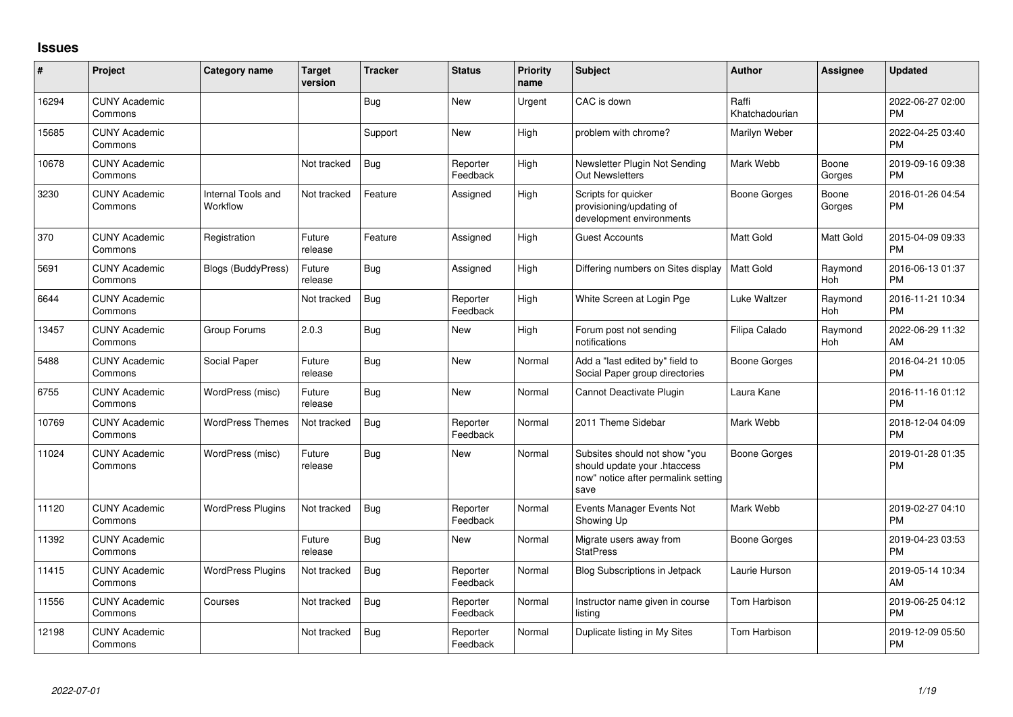## **Issues**

| ∦     | Project                         | Category name                  | Target<br>version | <b>Tracker</b> | <b>Status</b>        | <b>Priority</b><br>name | Subject                                                                                                      | <b>Author</b>           | Assignee              | <b>Updated</b>                |
|-------|---------------------------------|--------------------------------|-------------------|----------------|----------------------|-------------------------|--------------------------------------------------------------------------------------------------------------|-------------------------|-----------------------|-------------------------------|
| 16294 | <b>CUNY Academic</b><br>Commons |                                |                   | <b>Bug</b>     | <b>New</b>           | Urgent                  | CAC is down                                                                                                  | Raffi<br>Khatchadourian |                       | 2022-06-27 02:00<br><b>PM</b> |
| 15685 | <b>CUNY Academic</b><br>Commons |                                |                   | Support        | <b>New</b>           | Hiah                    | problem with chrome?                                                                                         | Marilyn Weber           |                       | 2022-04-25 03:40<br><b>PM</b> |
| 10678 | <b>CUNY Academic</b><br>Commons |                                | Not tracked       | <b>Bug</b>     | Reporter<br>Feedback | High                    | Newsletter Plugin Not Sending<br><b>Out Newsletters</b>                                                      | Mark Webb               | Boone<br>Gorges       | 2019-09-16 09:38<br><b>PM</b> |
| 3230  | <b>CUNY Academic</b><br>Commons | Internal Tools and<br>Workflow | Not tracked       | Feature        | Assigned             | High                    | Scripts for quicker<br>provisioning/updating of<br>development environments                                  | <b>Boone Gorges</b>     | Boone<br>Gorges       | 2016-01-26 04:54<br><b>PM</b> |
| 370   | <b>CUNY Academic</b><br>Commons | Registration                   | Future<br>release | Feature        | Assigned             | High                    | <b>Guest Accounts</b>                                                                                        | <b>Matt Gold</b>        | Matt Gold             | 2015-04-09 09:33<br><b>PM</b> |
| 5691  | <b>CUNY Academic</b><br>Commons | <b>Blogs (BuddyPress)</b>      | Future<br>release | <b>Bug</b>     | Assigned             | High                    | Differing numbers on Sites display                                                                           | <b>Matt Gold</b>        | Raymond<br><b>Hoh</b> | 2016-06-13 01:37<br><b>PM</b> |
| 6644  | <b>CUNY Academic</b><br>Commons |                                | Not tracked       | <b>Bug</b>     | Reporter<br>Feedback | High                    | White Screen at Login Pge                                                                                    | Luke Waltzer            | Raymond<br>Hoh        | 2016-11-21 10:34<br><b>PM</b> |
| 13457 | <b>CUNY Academic</b><br>Commons | Group Forums                   | 2.0.3             | <b>Bug</b>     | <b>New</b>           | High                    | Forum post not sending<br>notifications                                                                      | Filipa Calado           | Raymond<br>Hoh        | 2022-06-29 11:32<br>AM        |
| 5488  | <b>CUNY Academic</b><br>Commons | Social Paper                   | Future<br>release | <b>Bug</b>     | <b>New</b>           | Normal                  | Add a "last edited by" field to<br>Social Paper group directories                                            | Boone Gorges            |                       | 2016-04-21 10:05<br><b>PM</b> |
| 6755  | <b>CUNY Academic</b><br>Commons | WordPress (misc)               | Future<br>release | <b>Bug</b>     | <b>New</b>           | Normal                  | Cannot Deactivate Plugin                                                                                     | Laura Kane              |                       | 2016-11-16 01:12<br><b>PM</b> |
| 10769 | <b>CUNY Academic</b><br>Commons | <b>WordPress Themes</b>        | Not tracked       | <b>Bug</b>     | Reporter<br>Feedback | Normal                  | 2011 Theme Sidebar                                                                                           | Mark Webb               |                       | 2018-12-04 04:09<br><b>PM</b> |
| 11024 | <b>CUNY Academic</b><br>Commons | WordPress (misc)               | Future<br>release | Bug            | New                  | Normal                  | Subsites should not show "you<br>should update your .htaccess<br>now" notice after permalink setting<br>save | <b>Boone Gorges</b>     |                       | 2019-01-28 01:35<br><b>PM</b> |
| 11120 | <b>CUNY Academic</b><br>Commons | <b>WordPress Plugins</b>       | Not tracked       | Bug            | Reporter<br>Feedback | Normal                  | Events Manager Events Not<br>Showing Up                                                                      | Mark Webb               |                       | 2019-02-27 04:10<br><b>PM</b> |
| 11392 | <b>CUNY Academic</b><br>Commons |                                | Future<br>release | Bug            | <b>New</b>           | Normal                  | Migrate users away from<br><b>StatPress</b>                                                                  | <b>Boone Gorges</b>     |                       | 2019-04-23 03:53<br><b>PM</b> |
| 11415 | <b>CUNY Academic</b><br>Commons | <b>WordPress Plugins</b>       | Not tracked       | Bug            | Reporter<br>Feedback | Normal                  | <b>Blog Subscriptions in Jetpack</b>                                                                         | Laurie Hurson           |                       | 2019-05-14 10:34<br>AM        |
| 11556 | <b>CUNY Academic</b><br>Commons | Courses                        | Not tracked       | Bug            | Reporter<br>Feedback | Normal                  | Instructor name given in course<br>listing                                                                   | <b>Tom Harbison</b>     |                       | 2019-06-25 04:12<br><b>PM</b> |
| 12198 | <b>CUNY Academic</b><br>Commons |                                | Not tracked       | Bug            | Reporter<br>Feedback | Normal                  | Duplicate listing in My Sites                                                                                | <b>Tom Harbison</b>     |                       | 2019-12-09 05:50<br><b>PM</b> |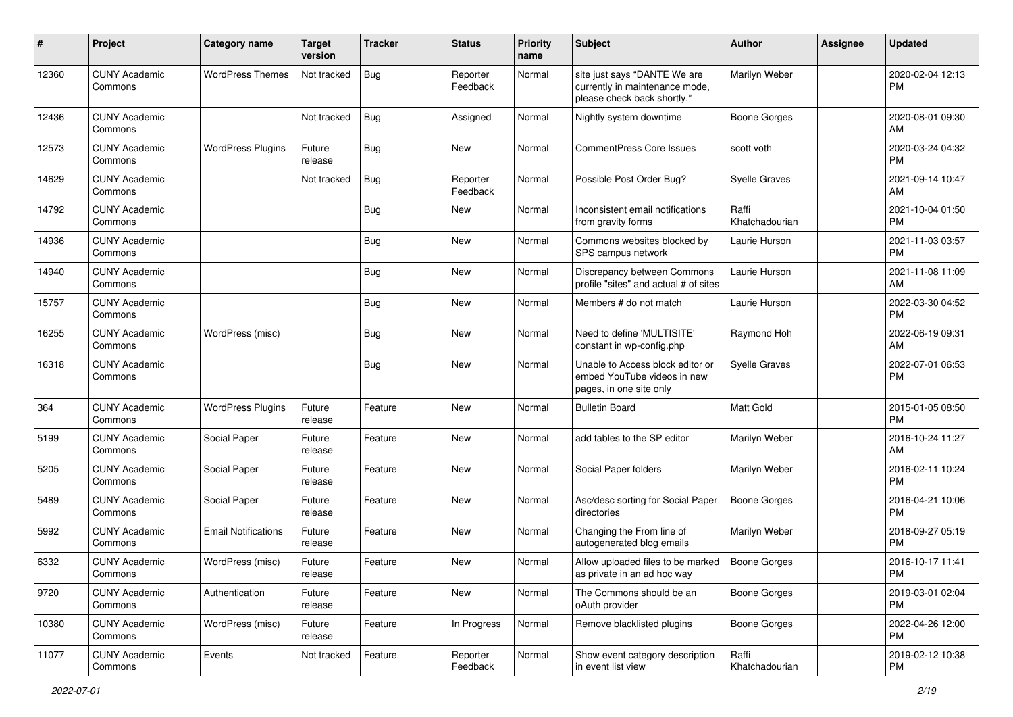| #     | Project                         | <b>Category name</b>       | <b>Target</b><br>version | Tracker    | <b>Status</b>        | <b>Priority</b><br>name | <b>Subject</b>                                                                                | <b>Author</b>           | <b>Assignee</b> | <b>Updated</b>                |
|-------|---------------------------------|----------------------------|--------------------------|------------|----------------------|-------------------------|-----------------------------------------------------------------------------------------------|-------------------------|-----------------|-------------------------------|
| 12360 | <b>CUNY Academic</b><br>Commons | <b>WordPress Themes</b>    | Not tracked              | Bug        | Reporter<br>Feedback | Normal                  | site just says "DANTE We are<br>currently in maintenance mode,<br>please check back shortly." | Marilyn Weber           |                 | 2020-02-04 12:13<br>PM        |
| 12436 | <b>CUNY Academic</b><br>Commons |                            | Not tracked              | <b>Bug</b> | Assigned             | Normal                  | Nightly system downtime                                                                       | <b>Boone Gorges</b>     |                 | 2020-08-01 09:30<br>AM        |
| 12573 | <b>CUNY Academic</b><br>Commons | <b>WordPress Plugins</b>   | Future<br>release        | Bug        | New                  | Normal                  | <b>CommentPress Core Issues</b>                                                               | scott voth              |                 | 2020-03-24 04:32<br><b>PM</b> |
| 14629 | <b>CUNY Academic</b><br>Commons |                            | Not tracked              | Bug        | Reporter<br>Feedback | Normal                  | Possible Post Order Bug?                                                                      | <b>Syelle Graves</b>    |                 | 2021-09-14 10:47<br>AM        |
| 14792 | <b>CUNY Academic</b><br>Commons |                            |                          | Bug        | New                  | Normal                  | Inconsistent email notifications<br>from gravity forms                                        | Raffi<br>Khatchadourian |                 | 2021-10-04 01:50<br><b>PM</b> |
| 14936 | <b>CUNY Academic</b><br>Commons |                            |                          | <b>Bug</b> | <b>New</b>           | Normal                  | Commons websites blocked by<br>SPS campus network                                             | Laurie Hurson           |                 | 2021-11-03 03:57<br><b>PM</b> |
| 14940 | <b>CUNY Academic</b><br>Commons |                            |                          | <b>Bug</b> | New                  | Normal                  | Discrepancy between Commons<br>profile "sites" and actual # of sites                          | Laurie Hurson           |                 | 2021-11-08 11:09<br>AM        |
| 15757 | <b>CUNY Academic</b><br>Commons |                            |                          | <b>Bug</b> | <b>New</b>           | Normal                  | Members # do not match                                                                        | Laurie Hurson           |                 | 2022-03-30 04:52<br><b>PM</b> |
| 16255 | <b>CUNY Academic</b><br>Commons | WordPress (misc)           |                          | Bug        | <b>New</b>           | Normal                  | Need to define 'MULTISITE'<br>constant in wp-config.php                                       | Raymond Hoh             |                 | 2022-06-19 09:31<br>AM        |
| 16318 | <b>CUNY Academic</b><br>Commons |                            |                          | <b>Bug</b> | New                  | Normal                  | Unable to Access block editor or<br>embed YouTube videos in new<br>pages, in one site only    | <b>Syelle Graves</b>    |                 | 2022-07-01 06:53<br><b>PM</b> |
| 364   | <b>CUNY Academic</b><br>Commons | <b>WordPress Plugins</b>   | Future<br>release        | Feature    | <b>New</b>           | Normal                  | <b>Bulletin Board</b>                                                                         | <b>Matt Gold</b>        |                 | 2015-01-05 08:50<br><b>PM</b> |
| 5199  | <b>CUNY Academic</b><br>Commons | Social Paper               | Future<br>release        | Feature    | New                  | Normal                  | add tables to the SP editor                                                                   | Marilyn Weber           |                 | 2016-10-24 11:27<br>AM        |
| 5205  | <b>CUNY Academic</b><br>Commons | Social Paper               | Future<br>release        | Feature    | <b>New</b>           | Normal                  | Social Paper folders                                                                          | Marilyn Weber           |                 | 2016-02-11 10:24<br><b>PM</b> |
| 5489  | <b>CUNY Academic</b><br>Commons | Social Paper               | Future<br>release        | Feature    | New                  | Normal                  | Asc/desc sorting for Social Paper<br>directories                                              | <b>Boone Gorges</b>     |                 | 2016-04-21 10:06<br><b>PM</b> |
| 5992  | <b>CUNY Academic</b><br>Commons | <b>Email Notifications</b> | Future<br>release        | Feature    | <b>New</b>           | Normal                  | Changing the From line of<br>autogenerated blog emails                                        | Marilyn Weber           |                 | 2018-09-27 05:19<br><b>PM</b> |
| 6332  | <b>CUNY Academic</b><br>Commons | WordPress (misc)           | Future<br>release        | Feature    | <b>New</b>           | Normal                  | Allow uploaded files to be marked<br>as private in an ad hoc way                              | Boone Gorges            |                 | 2016-10-17 11:41<br>PM        |
| 9720  | <b>CUNY Academic</b><br>Commons | Authentication             | Future<br>release        | Feature    | New                  | Normal                  | The Commons should be an<br>oAuth provider                                                    | <b>Boone Gorges</b>     |                 | 2019-03-01 02:04<br>PM.       |
| 10380 | <b>CUNY Academic</b><br>Commons | WordPress (misc)           | Future<br>release        | Feature    | In Progress          | Normal                  | Remove blacklisted plugins                                                                    | <b>Boone Gorges</b>     |                 | 2022-04-26 12:00<br><b>PM</b> |
| 11077 | <b>CUNY Academic</b><br>Commons | Events                     | Not tracked              | Feature    | Reporter<br>Feedback | Normal                  | Show event category description<br>in event list view                                         | Raffi<br>Khatchadourian |                 | 2019-02-12 10:38<br><b>PM</b> |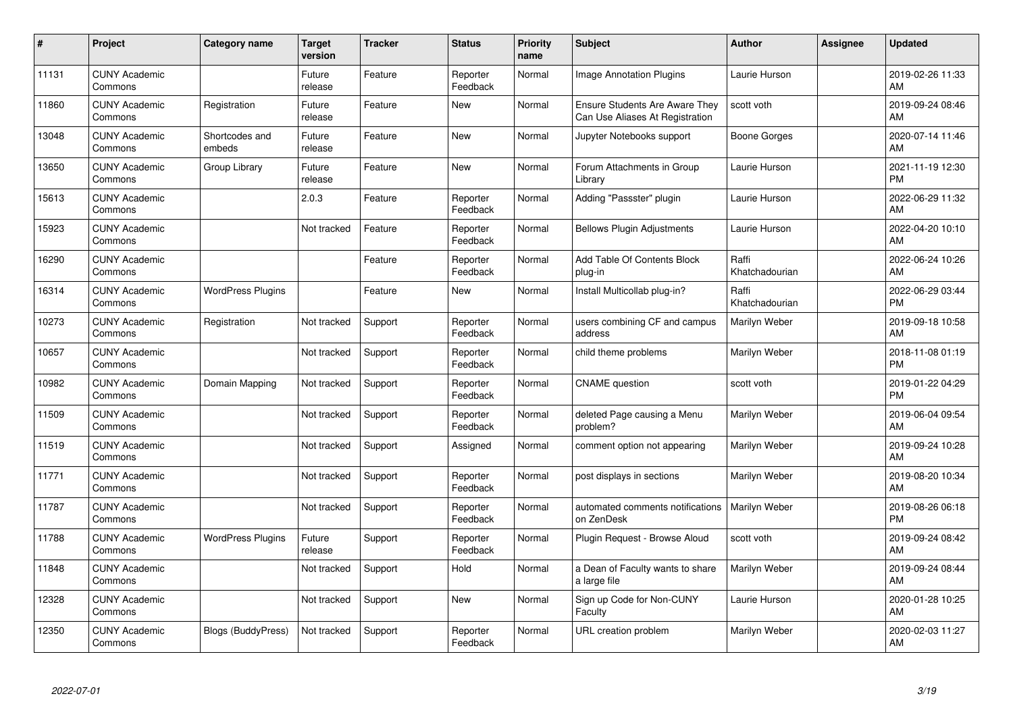| #     | Project                         | <b>Category name</b>      | <b>Target</b><br>version | <b>Tracker</b> | <b>Status</b>        | <b>Priority</b><br>name | <b>Subject</b>                                                           | <b>Author</b>           | Assignee | <b>Updated</b>                |
|-------|---------------------------------|---------------------------|--------------------------|----------------|----------------------|-------------------------|--------------------------------------------------------------------------|-------------------------|----------|-------------------------------|
| 11131 | <b>CUNY Academic</b><br>Commons |                           | Future<br>release        | Feature        | Reporter<br>Feedback | Normal                  | <b>Image Annotation Plugins</b>                                          | Laurie Hurson           |          | 2019-02-26 11:33<br>AM        |
| 11860 | <b>CUNY Academic</b><br>Commons | Registration              | Future<br>release        | Feature        | New                  | Normal                  | <b>Ensure Students Are Aware They</b><br>Can Use Aliases At Registration | scott voth              |          | 2019-09-24 08:46<br><b>AM</b> |
| 13048 | <b>CUNY Academic</b><br>Commons | Shortcodes and<br>embeds  | Future<br>release        | Feature        | New                  | Normal                  | Jupyter Notebooks support                                                | Boone Gorges            |          | 2020-07-14 11:46<br>AM        |
| 13650 | <b>CUNY Academic</b><br>Commons | Group Library             | Future<br>release        | Feature        | <b>New</b>           | Normal                  | Forum Attachments in Group<br>Library                                    | Laurie Hurson           |          | 2021-11-19 12:30<br><b>PM</b> |
| 15613 | <b>CUNY Academic</b><br>Commons |                           | 2.0.3                    | Feature        | Reporter<br>Feedback | Normal                  | Adding "Passster" plugin                                                 | Laurie Hurson           |          | 2022-06-29 11:32<br><b>AM</b> |
| 15923 | <b>CUNY Academic</b><br>Commons |                           | Not tracked              | Feature        | Reporter<br>Feedback | Normal                  | <b>Bellows Plugin Adjustments</b>                                        | Laurie Hurson           |          | 2022-04-20 10:10<br>AM        |
| 16290 | <b>CUNY Academic</b><br>Commons |                           |                          | Feature        | Reporter<br>Feedback | Normal                  | Add Table Of Contents Block<br>plug-in                                   | Raffi<br>Khatchadourian |          | 2022-06-24 10:26<br>AM        |
| 16314 | <b>CUNY Academic</b><br>Commons | <b>WordPress Plugins</b>  |                          | Feature        | <b>New</b>           | Normal                  | Install Multicollab plug-in?                                             | Raffi<br>Khatchadourian |          | 2022-06-29 03:44<br><b>PM</b> |
| 10273 | <b>CUNY Academic</b><br>Commons | Registration              | Not tracked              | Support        | Reporter<br>Feedback | Normal                  | users combining CF and campus<br>address                                 | Marilyn Weber           |          | 2019-09-18 10:58<br>AM        |
| 10657 | <b>CUNY Academic</b><br>Commons |                           | Not tracked              | Support        | Reporter<br>Feedback | Normal                  | child theme problems                                                     | Marilyn Weber           |          | 2018-11-08 01:19<br>PM        |
| 10982 | <b>CUNY Academic</b><br>Commons | Domain Mapping            | Not tracked              | Support        | Reporter<br>Feedback | Normal                  | <b>CNAME</b> question                                                    | scott voth              |          | 2019-01-22 04:29<br><b>PM</b> |
| 11509 | <b>CUNY Academic</b><br>Commons |                           | Not tracked              | Support        | Reporter<br>Feedback | Normal                  | deleted Page causing a Menu<br>problem?                                  | Marilyn Weber           |          | 2019-06-04 09:54<br>AM        |
| 11519 | <b>CUNY Academic</b><br>Commons |                           | Not tracked              | Support        | Assigned             | Normal                  | comment option not appearing                                             | Marilyn Weber           |          | 2019-09-24 10:28<br>AM        |
| 11771 | <b>CUNY Academic</b><br>Commons |                           | Not tracked              | Support        | Reporter<br>Feedback | Normal                  | post displays in sections                                                | Marilyn Weber           |          | 2019-08-20 10:34<br><b>AM</b> |
| 11787 | <b>CUNY Academic</b><br>Commons |                           | Not tracked              | Support        | Reporter<br>Feedback | Normal                  | automated comments notifications<br>on ZenDesk                           | Marilyn Weber           |          | 2019-08-26 06:18<br><b>PM</b> |
| 11788 | <b>CUNY Academic</b><br>Commons | <b>WordPress Plugins</b>  | Future<br>release        | Support        | Reporter<br>Feedback | Normal                  | Plugin Request - Browse Aloud                                            | scott voth              |          | 2019-09-24 08:42<br>AM        |
| 11848 | <b>CUNY Academic</b><br>Commons |                           | Not tracked              | Support        | Hold                 | Normal                  | a Dean of Faculty wants to share<br>a large file                         | Marilyn Weber           |          | 2019-09-24 08:44<br><b>AM</b> |
| 12328 | <b>CUNY Academic</b><br>Commons |                           | Not tracked              | Support        | <b>New</b>           | Normal                  | Sign up Code for Non-CUNY<br>Faculty                                     | Laurie Hurson           |          | 2020-01-28 10:25<br>AM        |
| 12350 | <b>CUNY Academic</b><br>Commons | <b>Blogs (BuddyPress)</b> | Not tracked              | Support        | Reporter<br>Feedback | Normal                  | URL creation problem                                                     | Marilyn Weber           |          | 2020-02-03 11:27<br>AM        |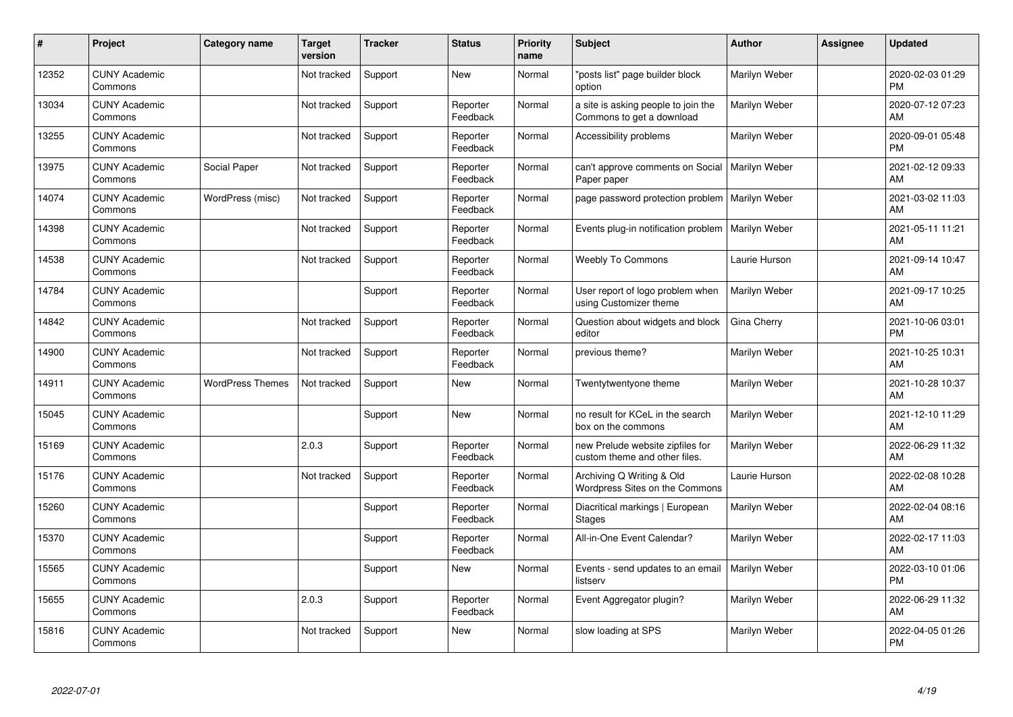| #     | Project                         | <b>Category name</b>    | <b>Target</b><br>version | <b>Tracker</b> | <b>Status</b>        | <b>Priority</b><br>name | <b>Subject</b>                                                    | <b>Author</b> | <b>Assignee</b> | <b>Updated</b>                |
|-------|---------------------------------|-------------------------|--------------------------|----------------|----------------------|-------------------------|-------------------------------------------------------------------|---------------|-----------------|-------------------------------|
| 12352 | <b>CUNY Academic</b><br>Commons |                         | Not tracked              | Support        | <b>New</b>           | Normal                  | "posts list" page builder block<br>option                         | Marilyn Weber |                 | 2020-02-03 01:29<br><b>PM</b> |
| 13034 | <b>CUNY Academic</b><br>Commons |                         | Not tracked              | Support        | Reporter<br>Feedback | Normal                  | a site is asking people to join the<br>Commons to get a download  | Marilyn Weber |                 | 2020-07-12 07:23<br><b>AM</b> |
| 13255 | <b>CUNY Academic</b><br>Commons |                         | Not tracked              | Support        | Reporter<br>Feedback | Normal                  | Accessibility problems                                            | Marilyn Weber |                 | 2020-09-01 05:48<br><b>PM</b> |
| 13975 | <b>CUNY Academic</b><br>Commons | Social Paper            | Not tracked              | Support        | Reporter<br>Feedback | Normal                  | can't approve comments on Social<br>Paper paper                   | Marilyn Weber |                 | 2021-02-12 09:33<br>AM        |
| 14074 | <b>CUNY Academic</b><br>Commons | WordPress (misc)        | Not tracked              | Support        | Reporter<br>Feedback | Normal                  | page password protection problem                                  | Marilyn Weber |                 | 2021-03-02 11:03<br><b>AM</b> |
| 14398 | <b>CUNY Academic</b><br>Commons |                         | Not tracked              | Support        | Reporter<br>Feedback | Normal                  | Events plug-in notification problem                               | Marilyn Weber |                 | 2021-05-11 11:21<br>AM        |
| 14538 | <b>CUNY Academic</b><br>Commons |                         | Not tracked              | Support        | Reporter<br>Feedback | Normal                  | <b>Weebly To Commons</b>                                          | Laurie Hurson |                 | 2021-09-14 10:47<br>AM        |
| 14784 | <b>CUNY Academic</b><br>Commons |                         |                          | Support        | Reporter<br>Feedback | Normal                  | User report of logo problem when<br>using Customizer theme        | Marilyn Weber |                 | 2021-09-17 10:25<br>AM        |
| 14842 | <b>CUNY Academic</b><br>Commons |                         | Not tracked              | Support        | Reporter<br>Feedback | Normal                  | Question about widgets and block<br>editor                        | Gina Cherry   |                 | 2021-10-06 03:01<br><b>PM</b> |
| 14900 | <b>CUNY Academic</b><br>Commons |                         | Not tracked              | Support        | Reporter<br>Feedback | Normal                  | previous theme?                                                   | Marilyn Weber |                 | 2021-10-25 10:31<br>AM        |
| 14911 | <b>CUNY Academic</b><br>Commons | <b>WordPress Themes</b> | Not tracked              | Support        | New                  | Normal                  | Twentytwentyone theme                                             | Marilyn Weber |                 | 2021-10-28 10:37<br>AM        |
| 15045 | <b>CUNY Academic</b><br>Commons |                         |                          | Support        | <b>New</b>           | Normal                  | no result for KCeL in the search<br>box on the commons            | Marilyn Weber |                 | 2021-12-10 11:29<br>AM        |
| 15169 | <b>CUNY Academic</b><br>Commons |                         | 2.0.3                    | Support        | Reporter<br>Feedback | Normal                  | new Prelude website zipfiles for<br>custom theme and other files. | Marilyn Weber |                 | 2022-06-29 11:32<br>AM        |
| 15176 | <b>CUNY Academic</b><br>Commons |                         | Not tracked              | Support        | Reporter<br>Feedback | Normal                  | Archiving Q Writing & Old<br>Wordpress Sites on the Commons       | Laurie Hurson |                 | 2022-02-08 10:28<br><b>AM</b> |
| 15260 | <b>CUNY Academic</b><br>Commons |                         |                          | Support        | Reporter<br>Feedback | Normal                  | Diacritical markings   European<br><b>Stages</b>                  | Marilyn Weber |                 | 2022-02-04 08:16<br><b>AM</b> |
| 15370 | <b>CUNY Academic</b><br>Commons |                         |                          | Support        | Reporter<br>Feedback | Normal                  | All-in-One Event Calendar?                                        | Marilyn Weber |                 | 2022-02-17 11:03<br>AM        |
| 15565 | <b>CUNY Academic</b><br>Commons |                         |                          | Support        | New                  | Normal                  | Events - send updates to an email<br>listserv                     | Marilyn Weber |                 | 2022-03-10 01:06<br><b>PM</b> |
| 15655 | <b>CUNY Academic</b><br>Commons |                         | 2.0.3                    | Support        | Reporter<br>Feedback | Normal                  | Event Aggregator plugin?                                          | Marilyn Weber |                 | 2022-06-29 11:32<br>AM        |
| 15816 | <b>CUNY Academic</b><br>Commons |                         | Not tracked              | Support        | <b>New</b>           | Normal                  | slow loading at SPS                                               | Marilyn Weber |                 | 2022-04-05 01:26<br>PM        |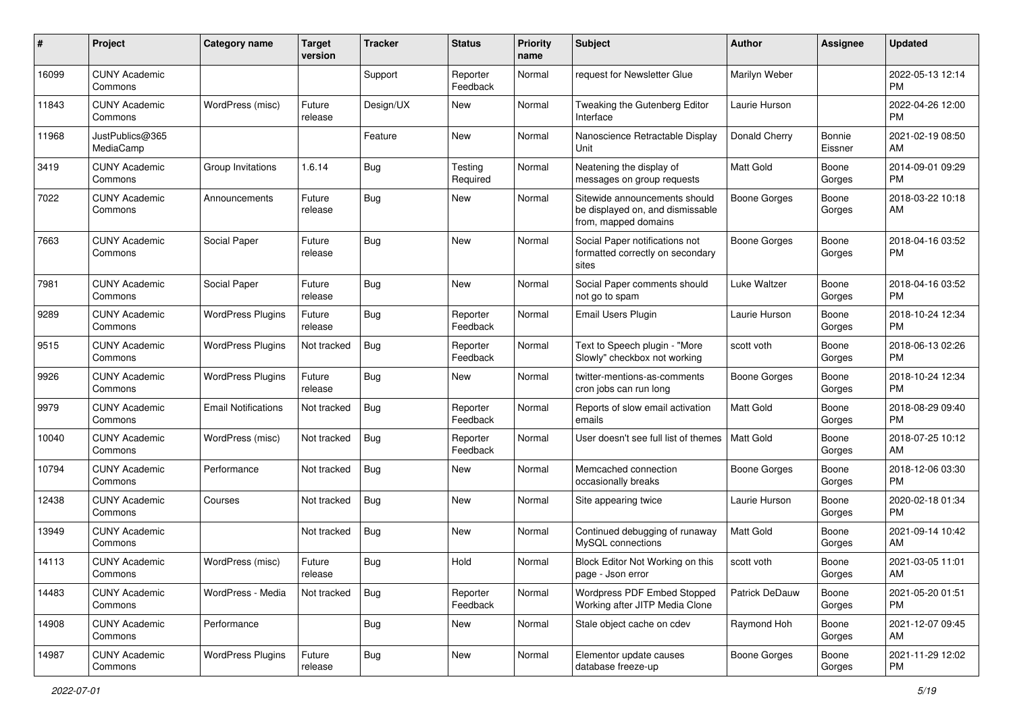| #     | Project                         | <b>Category name</b>       | <b>Target</b><br>version | <b>Tracker</b> | <b>Status</b>        | <b>Priority</b><br>name | <b>Subject</b>                                                                            | <b>Author</b>    | <b>Assignee</b>   | <b>Updated</b>                |
|-------|---------------------------------|----------------------------|--------------------------|----------------|----------------------|-------------------------|-------------------------------------------------------------------------------------------|------------------|-------------------|-------------------------------|
| 16099 | <b>CUNY Academic</b><br>Commons |                            |                          | Support        | Reporter<br>Feedback | Normal                  | request for Newsletter Glue                                                               | Marilyn Weber    |                   | 2022-05-13 12:14<br>PM        |
| 11843 | <b>CUNY Academic</b><br>Commons | WordPress (misc)           | Future<br>release        | Design/UX      | New                  | Normal                  | Tweaking the Gutenberg Editor<br>Interface                                                | Laurie Hurson    |                   | 2022-04-26 12:00<br><b>PM</b> |
| 11968 | JustPublics@365<br>MediaCamp    |                            |                          | Feature        | New                  | Normal                  | Nanoscience Retractable Display<br>Unit                                                   | Donald Cherry    | Bonnie<br>Eissner | 2021-02-19 08:50<br>AM        |
| 3419  | <b>CUNY Academic</b><br>Commons | Group Invitations          | 1.6.14                   | Bug            | Testing<br>Required  | Normal                  | Neatening the display of<br>messages on group requests                                    | <b>Matt Gold</b> | Boone<br>Gorges   | 2014-09-01 09:29<br><b>PM</b> |
| 7022  | <b>CUNY Academic</b><br>Commons | Announcements              | Future<br>release        | Bug            | New                  | Normal                  | Sitewide announcements should<br>be displayed on, and dismissable<br>from, mapped domains | Boone Gorges     | Boone<br>Gorges   | 2018-03-22 10:18<br>AM        |
| 7663  | <b>CUNY Academic</b><br>Commons | Social Paper               | Future<br>release        | Bug            | New                  | Normal                  | Social Paper notifications not<br>formatted correctly on secondary<br>sites               | Boone Gorges     | Boone<br>Gorges   | 2018-04-16 03:52<br>PM        |
| 7981  | <b>CUNY Academic</b><br>Commons | Social Paper               | Future<br>release        | Bug            | <b>New</b>           | Normal                  | Social Paper comments should<br>not go to spam                                            | Luke Waltzer     | Boone<br>Gorges   | 2018-04-16 03:52<br>PM.       |
| 9289  | <b>CUNY Academic</b><br>Commons | <b>WordPress Plugins</b>   | Future<br>release        | Bug            | Reporter<br>Feedback | Normal                  | <b>Email Users Plugin</b>                                                                 | Laurie Hurson    | Boone<br>Gorges   | 2018-10-24 12:34<br><b>PM</b> |
| 9515  | <b>CUNY Academic</b><br>Commons | <b>WordPress Plugins</b>   | Not tracked              | Bug            | Reporter<br>Feedback | Normal                  | Text to Speech plugin - "More<br>Slowly" checkbox not working                             | scott voth       | Boone<br>Gorges   | 2018-06-13 02:26<br><b>PM</b> |
| 9926  | <b>CUNY Academic</b><br>Commons | <b>WordPress Plugins</b>   | Future<br>release        | Bug            | New                  | Normal                  | twitter-mentions-as-comments<br>cron jobs can run long                                    | Boone Gorges     | Boone<br>Gorges   | 2018-10-24 12:34<br><b>PM</b> |
| 9979  | <b>CUNY Academic</b><br>Commons | <b>Email Notifications</b> | Not tracked              | Bug            | Reporter<br>Feedback | Normal                  | Reports of slow email activation<br>emails                                                | <b>Matt Gold</b> | Boone<br>Gorges   | 2018-08-29 09:40<br><b>PM</b> |
| 10040 | <b>CUNY Academic</b><br>Commons | WordPress (misc)           | Not tracked              | <b>Bug</b>     | Reporter<br>Feedback | Normal                  | User doesn't see full list of themes                                                      | Matt Gold        | Boone<br>Gorges   | 2018-07-25 10:12<br>AM        |
| 10794 | <b>CUNY Academic</b><br>Commons | Performance                | Not tracked              | Bug            | New                  | Normal                  | Memcached connection<br>occasionally breaks                                               | Boone Gorges     | Boone<br>Gorges   | 2018-12-06 03:30<br><b>PM</b> |
| 12438 | <b>CUNY Academic</b><br>Commons | Courses                    | Not tracked              | <b>Bug</b>     | New                  | Normal                  | Site appearing twice                                                                      | Laurie Hurson    | Boone<br>Gorges   | 2020-02-18 01:34<br><b>PM</b> |
| 13949 | <b>CUNY Academic</b><br>Commons |                            | Not tracked              | Bug            | New                  | Normal                  | Continued debugging of runaway<br>MySQL connections                                       | <b>Matt Gold</b> | Boone<br>Gorges   | 2021-09-14 10:42<br>AM        |
| 14113 | <b>CUNY Academic</b><br>Commons | WordPress (misc)           | Future<br>release        | Bug            | Hold                 | Normal                  | Block Editor Not Working on this<br>page - Json error                                     | scott voth       | Boone<br>Gorges   | 2021-03-05 11:01<br>AM        |
| 14483 | <b>CUNY Academic</b><br>Commons | WordPress - Media          | Not tracked              | Bug            | Reporter<br>Feedback | Normal                  | Wordpress PDF Embed Stopped<br>Working after JITP Media Clone                             | Patrick DeDauw   | Boone<br>Gorges   | 2021-05-20 01:51<br>PM.       |
| 14908 | <b>CUNY Academic</b><br>Commons | Performance                |                          | <b>Bug</b>     | New                  | Normal                  | Stale object cache on cdev                                                                | Raymond Hoh      | Boone<br>Gorges   | 2021-12-07 09:45<br>AM        |
| 14987 | <b>CUNY Academic</b><br>Commons | <b>WordPress Plugins</b>   | Future<br>release        | <b>Bug</b>     | New                  | Normal                  | Elementor update causes<br>database freeze-up                                             | Boone Gorges     | Boone<br>Gorges   | 2021-11-29 12:02<br>PM        |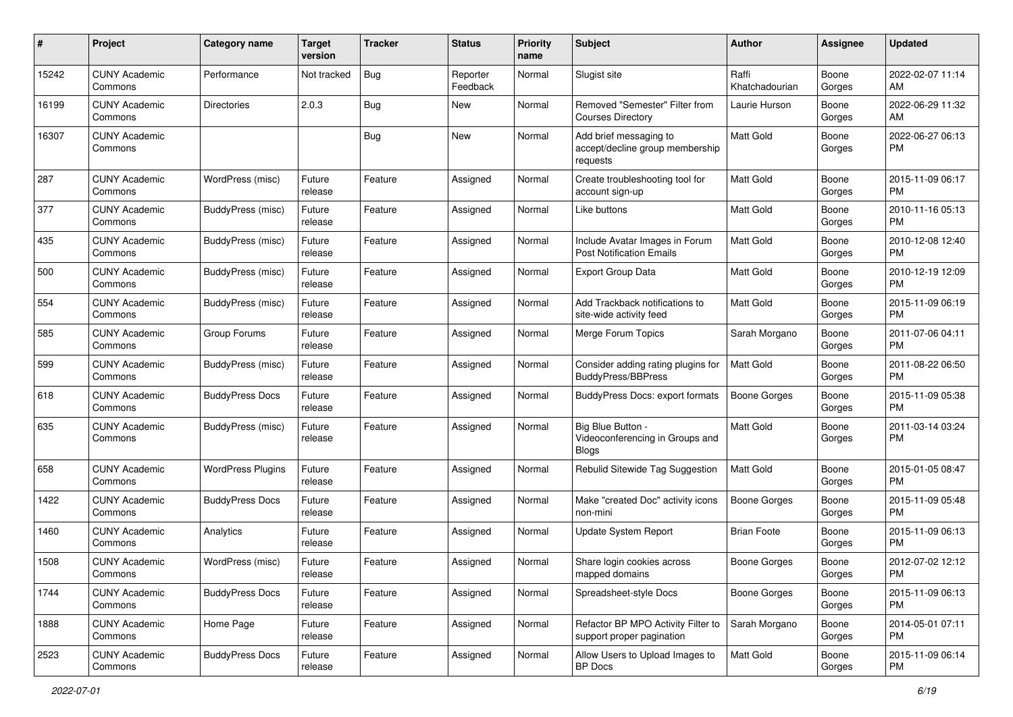| #     | Project                         | <b>Category name</b>     | <b>Target</b><br>version | <b>Tracker</b> | <b>Status</b>        | Priority<br>name | <b>Subject</b>                                                        | Author                  | <b>Assignee</b> | <b>Updated</b>                |
|-------|---------------------------------|--------------------------|--------------------------|----------------|----------------------|------------------|-----------------------------------------------------------------------|-------------------------|-----------------|-------------------------------|
| 15242 | <b>CUNY Academic</b><br>Commons | Performance              | Not tracked              | Bug            | Reporter<br>Feedback | Normal           | Slugist site                                                          | Raffi<br>Khatchadourian | Boone<br>Gorges | 2022-02-07 11:14<br>AM.       |
| 16199 | <b>CUNY Academic</b><br>Commons | <b>Directories</b>       | 2.0.3                    | <b>Bug</b>     | New                  | Normal           | Removed "Semester" Filter from<br><b>Courses Directory</b>            | Laurie Hurson           | Boone<br>Gorges | 2022-06-29 11:32<br>AM.       |
| 16307 | <b>CUNY Academic</b><br>Commons |                          |                          | Bug            | New                  | Normal           | Add brief messaging to<br>accept/decline group membership<br>requests | Matt Gold               | Boone<br>Gorges | 2022-06-27 06:13<br>PM.       |
| 287   | <b>CUNY Academic</b><br>Commons | WordPress (misc)         | Future<br>release        | Feature        | Assigned             | Normal           | Create troubleshooting tool for<br>account sign-up                    | Matt Gold               | Boone<br>Gorges | 2015-11-09 06:17<br>PM.       |
| 377   | <b>CUNY Academic</b><br>Commons | BuddyPress (misc)        | Future<br>release        | Feature        | Assigned             | Normal           | Like buttons                                                          | <b>Matt Gold</b>        | Boone<br>Gorges | 2010-11-16 05:13<br>PM.       |
| 435   | <b>CUNY Academic</b><br>Commons | <b>BuddyPress (misc)</b> | Future<br>release        | Feature        | Assigned             | Normal           | Include Avatar Images in Forum<br><b>Post Notification Emails</b>     | <b>Matt Gold</b>        | Boone<br>Gorges | 2010-12-08 12:40<br><b>PM</b> |
| 500   | <b>CUNY Academic</b><br>Commons | <b>BuddyPress (misc)</b> | Future<br>release        | Feature        | Assigned             | Normal           | <b>Export Group Data</b>                                              | Matt Gold               | Boone<br>Gorges | 2010-12-19 12:09<br><b>PM</b> |
| 554   | <b>CUNY Academic</b><br>Commons | <b>BuddyPress (misc)</b> | Future<br>release        | Feature        | Assigned             | Normal           | Add Trackback notifications to<br>site-wide activity feed             | Matt Gold               | Boone<br>Gorges | 2015-11-09 06:19<br><b>PM</b> |
| 585   | <b>CUNY Academic</b><br>Commons | Group Forums             | Future<br>release        | Feature        | Assigned             | Normal           | Merge Forum Topics                                                    | Sarah Morgano           | Boone<br>Gorges | 2011-07-06 04:11<br>PM.       |
| 599   | <b>CUNY Academic</b><br>Commons | BuddyPress (misc)        | Future<br>release        | Feature        | Assigned             | Normal           | Consider adding rating plugins for<br><b>BuddyPress/BBPress</b>       | Matt Gold               | Boone<br>Gorges | 2011-08-22 06:50<br><b>PM</b> |
| 618   | <b>CUNY Academic</b><br>Commons | <b>BuddyPress Docs</b>   | Future<br>release        | Feature        | Assigned             | Normal           | BuddyPress Docs: export formats                                       | Boone Gorges            | Boone<br>Gorges | 2015-11-09 05:38<br>PM.       |
| 635   | <b>CUNY Academic</b><br>Commons | BuddyPress (misc)        | Future<br>release        | Feature        | Assigned             | Normal           | Big Blue Button -<br>Videoconferencing in Groups and<br><b>Blogs</b>  | Matt Gold               | Boone<br>Gorges | 2011-03-14 03:24<br>PM        |
| 658   | <b>CUNY Academic</b><br>Commons | <b>WordPress Plugins</b> | Future<br>release        | Feature        | Assigned             | Normal           | Rebulid Sitewide Tag Suggestion                                       | Matt Gold               | Boone<br>Gorges | 2015-01-05 08:47<br>PM        |
| 1422  | <b>CUNY Academic</b><br>Commons | <b>BuddyPress Docs</b>   | Future<br>release        | Feature        | Assigned             | Normal           | Make "created Doc" activity icons<br>non-mini                         | Boone Gorges            | Boone<br>Gorges | 2015-11-09 05:48<br>PM.       |
| 1460  | <b>CUNY Academic</b><br>Commons | Analytics                | Future<br>release        | Feature        | Assigned             | Normal           | Update System Report                                                  | <b>Brian Foote</b>      | Boone<br>Gorges | 2015-11-09 06:13<br>PM.       |
| 1508  | <b>CUNY Academic</b><br>Commons | WordPress (misc)         | Future<br>release        | Feature        | Assigned             | Normal           | Share login cookies across<br>mapped domains                          | Boone Gorges            | Boone<br>Gorges | 2012-07-02 12:12<br>PM        |
| 1744  | <b>CUNY Academic</b><br>Commons | <b>BuddyPress Docs</b>   | Future<br>release        | Feature        | Assigned             | Normal           | Spreadsheet-style Docs                                                | Boone Gorges            | Boone<br>Gorges | 2015-11-09 06:13<br>PM.       |
| 1888  | <b>CUNY Academic</b><br>Commons | Home Page                | Future<br>release        | Feature        | Assigned             | Normal           | Refactor BP MPO Activity Filter to<br>support proper pagination       | Sarah Morgano           | Boone<br>Gorges | 2014-05-01 07:11<br><b>PM</b> |
| 2523  | <b>CUNY Academic</b><br>Commons | <b>BuddyPress Docs</b>   | Future<br>release        | Feature        | Assigned             | Normal           | Allow Users to Upload Images to<br>BP Docs                            | Matt Gold               | Boone<br>Gorges | 2015-11-09 06:14<br><b>PM</b> |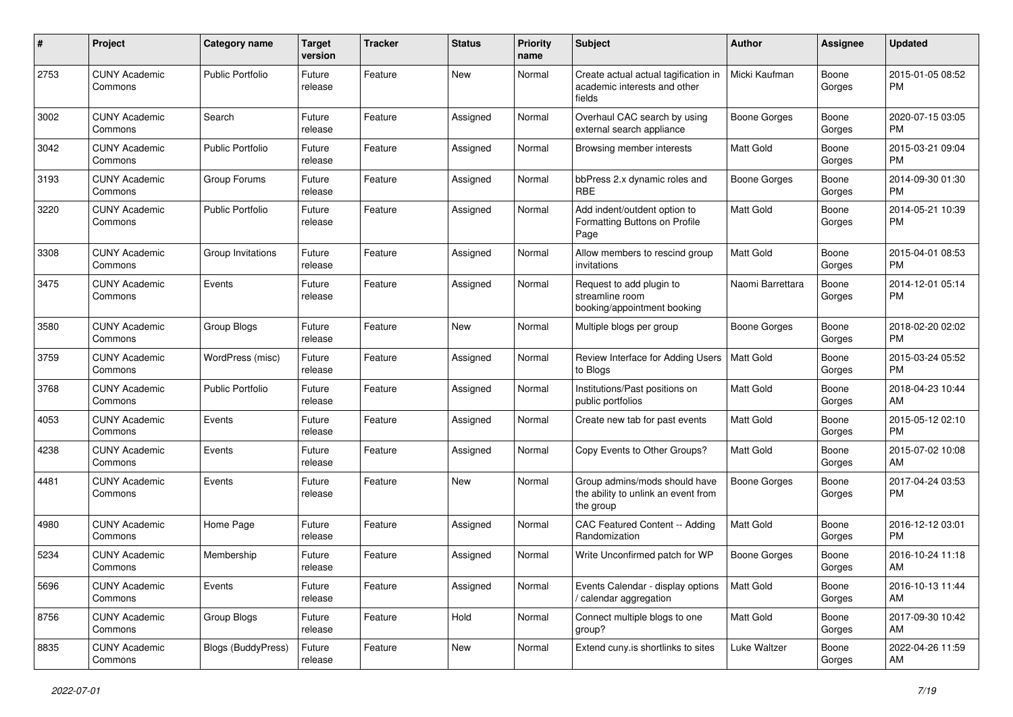| #    | Project                         | <b>Category name</b>      | <b>Target</b><br>version | <b>Tracker</b> | <b>Status</b> | Priority<br>name | <b>Subject</b>                                                                    | Author              | <b>Assignee</b> | <b>Updated</b>                |
|------|---------------------------------|---------------------------|--------------------------|----------------|---------------|------------------|-----------------------------------------------------------------------------------|---------------------|-----------------|-------------------------------|
| 2753 | <b>CUNY Academic</b><br>Commons | Public Portfolio          | Future<br>release        | Feature        | New           | Normal           | Create actual actual tagification in<br>academic interests and other<br>fields    | Micki Kaufman       | Boone<br>Gorges | 2015-01-05 08:52<br>PM.       |
| 3002 | <b>CUNY Academic</b><br>Commons | Search                    | Future<br>release        | Feature        | Assigned      | Normal           | Overhaul CAC search by using<br>external search appliance                         | <b>Boone Gorges</b> | Boone<br>Gorges | 2020-07-15 03:05<br>PM.       |
| 3042 | <b>CUNY Academic</b><br>Commons | <b>Public Portfolio</b>   | Future<br>release        | Feature        | Assigned      | Normal           | Browsing member interests                                                         | <b>Matt Gold</b>    | Boone<br>Gorges | 2015-03-21 09:04<br><b>PM</b> |
| 3193 | <b>CUNY Academic</b><br>Commons | Group Forums              | Future<br>release        | Feature        | Assigned      | Normal           | bbPress 2.x dynamic roles and<br><b>RBE</b>                                       | <b>Boone Gorges</b> | Boone<br>Gorges | 2014-09-30 01:30<br><b>PM</b> |
| 3220 | <b>CUNY Academic</b><br>Commons | <b>Public Portfolio</b>   | Future<br>release        | Feature        | Assigned      | Normal           | Add indent/outdent option to<br>Formatting Buttons on Profile<br>Page             | <b>Matt Gold</b>    | Boone<br>Gorges | 2014-05-21 10:39<br><b>PM</b> |
| 3308 | <b>CUNY Academic</b><br>Commons | Group Invitations         | Future<br>release        | Feature        | Assigned      | Normal           | Allow members to rescind group<br>invitations                                     | Matt Gold           | Boone<br>Gorges | 2015-04-01 08:53<br>PM.       |
| 3475 | <b>CUNY Academic</b><br>Commons | Events                    | Future<br>release        | Feature        | Assigned      | Normal           | Request to add plugin to<br>streamline room<br>booking/appointment booking        | Naomi Barrettara    | Boone<br>Gorges | 2014-12-01 05:14<br>PM.       |
| 3580 | <b>CUNY Academic</b><br>Commons | Group Blogs               | Future<br>release        | Feature        | New           | Normal           | Multiple blogs per group                                                          | Boone Gorges        | Boone<br>Gorges | 2018-02-20 02:02<br>PM.       |
| 3759 | <b>CUNY Academic</b><br>Commons | WordPress (misc)          | Future<br>release        | Feature        | Assigned      | Normal           | Review Interface for Adding Users<br>to Blogs                                     | <b>Matt Gold</b>    | Boone<br>Gorges | 2015-03-24 05:52<br><b>PM</b> |
| 3768 | <b>CUNY Academic</b><br>Commons | <b>Public Portfolio</b>   | Future<br>release        | Feature        | Assigned      | Normal           | Institutions/Past positions on<br>public portfolios                               | Matt Gold           | Boone<br>Gorges | 2018-04-23 10:44<br>AM.       |
| 4053 | <b>CUNY Academic</b><br>Commons | Events                    | Future<br>release        | Feature        | Assigned      | Normal           | Create new tab for past events                                                    | <b>Matt Gold</b>    | Boone<br>Gorges | 2015-05-12 02:10<br>PM.       |
| 4238 | <b>CUNY Academic</b><br>Commons | Events                    | Future<br>release        | Feature        | Assigned      | Normal           | Copy Events to Other Groups?                                                      | <b>Matt Gold</b>    | Boone<br>Gorges | 2015-07-02 10:08<br>AM        |
| 4481 | <b>CUNY Academic</b><br>Commons | Events                    | Future<br>release        | Feature        | New           | Normal           | Group admins/mods should have<br>the ability to unlink an event from<br>the group | <b>Boone Gorges</b> | Boone<br>Gorges | 2017-04-24 03:53<br><b>PM</b> |
| 4980 | <b>CUNY Academic</b><br>Commons | Home Page                 | Future<br>release        | Feature        | Assigned      | Normal           | CAC Featured Content -- Adding<br>Randomization                                   | <b>Matt Gold</b>    | Boone<br>Gorges | 2016-12-12 03:01<br><b>PM</b> |
| 5234 | <b>CUNY Academic</b><br>Commons | Membership                | Future<br>release        | Feature        | Assigned      | Normal           | Write Unconfirmed patch for WP                                                    | Boone Gorges        | Boone<br>Gorges | 2016-10-24 11:18<br>AM        |
| 5696 | <b>CUNY Academic</b><br>Commons | Events                    | Future<br>release        | Feature        | Assigned      | Normal           | Events Calendar - display options<br>/ calendar aggregation                       | <b>Matt Gold</b>    | Boone<br>Gorges | 2016-10-13 11:44<br>AM        |
| 8756 | <b>CUNY Academic</b><br>Commons | Group Blogs               | Future<br>release        | Feature        | Hold          | Normal           | Connect multiple blogs to one<br>group?                                           | Matt Gold           | Boone<br>Gorges | 2017-09-30 10:42<br>AM        |
| 8835 | <b>CUNY Academic</b><br>Commons | <b>Blogs (BuddyPress)</b> | Future<br>release        | Feature        | New           | Normal           | Extend cuny.is shortlinks to sites                                                | Luke Waltzer        | Boone<br>Gorges | 2022-04-26 11:59<br>AM        |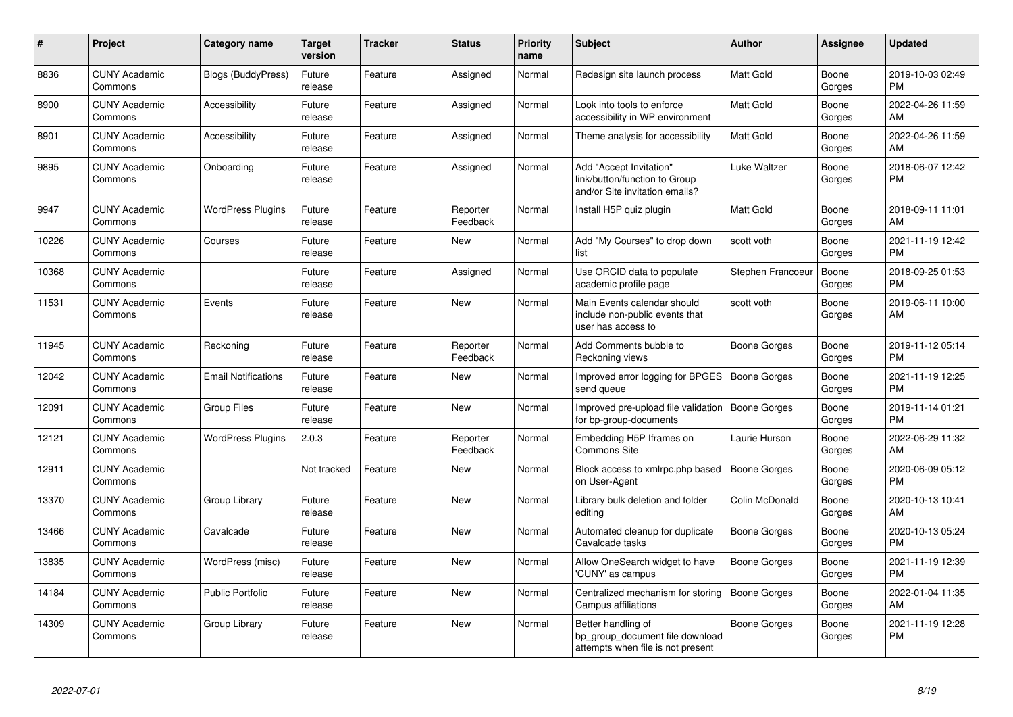| #     | <b>Project</b>                  | Category name              | <b>Target</b><br>version | <b>Tracker</b> | <b>Status</b>        | <b>Priority</b><br>name | <b>Subject</b>                                                                             | <b>Author</b>       | Assignee        | <b>Updated</b>                |
|-------|---------------------------------|----------------------------|--------------------------|----------------|----------------------|-------------------------|--------------------------------------------------------------------------------------------|---------------------|-----------------|-------------------------------|
| 8836  | <b>CUNY Academic</b><br>Commons | <b>Blogs (BuddyPress)</b>  | Future<br>release        | Feature        | Assigned             | Normal                  | Redesign site launch process                                                               | <b>Matt Gold</b>    | Boone<br>Gorges | 2019-10-03 02:49<br><b>PM</b> |
| 8900  | <b>CUNY Academic</b><br>Commons | Accessibility              | Future<br>release        | Feature        | Assigned             | Normal                  | Look into tools to enforce<br>accessibility in WP environment                              | <b>Matt Gold</b>    | Boone<br>Gorges | 2022-04-26 11:59<br>AM        |
| 8901  | <b>CUNY Academic</b><br>Commons | Accessibility              | Future<br>release        | Feature        | Assigned             | Normal                  | Theme analysis for accessibility                                                           | <b>Matt Gold</b>    | Boone<br>Gorges | 2022-04-26 11:59<br>AM        |
| 9895  | <b>CUNY Academic</b><br>Commons | Onboarding                 | Future<br>release        | Feature        | Assigned             | Normal                  | Add "Accept Invitation"<br>link/button/function to Group<br>and/or Site invitation emails? | Luke Waltzer        | Boone<br>Gorges | 2018-06-07 12:42<br><b>PM</b> |
| 9947  | <b>CUNY Academic</b><br>Commons | <b>WordPress Plugins</b>   | Future<br>release        | Feature        | Reporter<br>Feedback | Normal                  | Install H5P quiz plugin                                                                    | Matt Gold           | Boone<br>Gorges | 2018-09-11 11:01<br>AM        |
| 10226 | <b>CUNY Academic</b><br>Commons | Courses                    | Future<br>release        | Feature        | New                  | Normal                  | Add "My Courses" to drop down<br>list                                                      | scott voth          | Boone<br>Gorges | 2021-11-19 12:42<br><b>PM</b> |
| 10368 | <b>CUNY Academic</b><br>Commons |                            | Future<br>release        | Feature        | Assigned             | Normal                  | Use ORCID data to populate<br>academic profile page                                        | Stephen Francoeu    | Boone<br>Gorges | 2018-09-25 01:53<br><b>PM</b> |
| 11531 | <b>CUNY Academic</b><br>Commons | Events                     | Future<br>release        | Feature        | <b>New</b>           | Normal                  | Main Events calendar should<br>include non-public events that<br>user has access to        | scott voth          | Boone<br>Gorges | 2019-06-11 10:00<br>AM        |
| 11945 | <b>CUNY Academic</b><br>Commons | Reckoning                  | Future<br>release        | Feature        | Reporter<br>Feedback | Normal                  | Add Comments bubble to<br>Reckoning views                                                  | Boone Gorges        | Boone<br>Gorges | 2019-11-12 05:14<br><b>PM</b> |
| 12042 | <b>CUNY Academic</b><br>Commons | <b>Email Notifications</b> | Future<br>release        | Feature        | <b>New</b>           | Normal                  | Improved error logging for BPGES<br>send queue                                             | <b>Boone Gorges</b> | Boone<br>Gorges | 2021-11-19 12:25<br><b>PM</b> |
| 12091 | <b>CUNY Academic</b><br>Commons | Group Files                | Future<br>release        | Feature        | <b>New</b>           | Normal                  | Improved pre-upload file validation<br>for bp-group-documents                              | Boone Gorges        | Boone<br>Gorges | 2019-11-14 01:21<br><b>PM</b> |
| 12121 | <b>CUNY Academic</b><br>Commons | <b>WordPress Plugins</b>   | 2.0.3                    | Feature        | Reporter<br>Feedback | Normal                  | Embedding H5P Iframes on<br><b>Commons Site</b>                                            | Laurie Hurson       | Boone<br>Gorges | 2022-06-29 11:32<br>AM        |
| 12911 | <b>CUNY Academic</b><br>Commons |                            | Not tracked              | Feature        | New                  | Normal                  | Block access to xmlrpc.php based<br>on User-Agent                                          | Boone Gorges        | Boone<br>Gorges | 2020-06-09 05:12<br><b>PM</b> |
| 13370 | <b>CUNY Academic</b><br>Commons | Group Library              | Future<br>release        | Feature        | New                  | Normal                  | Library bulk deletion and folder<br>editing                                                | Colin McDonald      | Boone<br>Gorges | 2020-10-13 10:41<br>AM        |
| 13466 | <b>CUNY Academic</b><br>Commons | Cavalcade                  | Future<br>release        | Feature        | <b>New</b>           | Normal                  | Automated cleanup for duplicate<br>Cavalcade tasks                                         | Boone Gorges        | Boone<br>Gorges | 2020-10-13 05:24<br><b>PM</b> |
| 13835 | <b>CUNY Academic</b><br>Commons | WordPress (misc)           | Future<br>release        | Feature        | <b>New</b>           | Normal                  | Allow OneSearch widget to have<br>'CUNY' as campus                                         | Boone Gorges        | Boone<br>Gorges | 2021-11-19 12:39<br><b>PM</b> |
| 14184 | <b>CUNY Academic</b><br>Commons | <b>Public Portfolio</b>    | Future<br>release        | Feature        | New                  | Normal                  | Centralized mechanism for storing<br>Campus affiliations                                   | <b>Boone Gorges</b> | Boone<br>Gorges | 2022-01-04 11:35<br>AM        |
| 14309 | <b>CUNY Academic</b><br>Commons | Group Library              | Future<br>release        | Feature        | <b>New</b>           | Normal                  | Better handling of<br>bp group document file download<br>attempts when file is not present | Boone Gorges        | Boone<br>Gorges | 2021-11-19 12:28<br><b>PM</b> |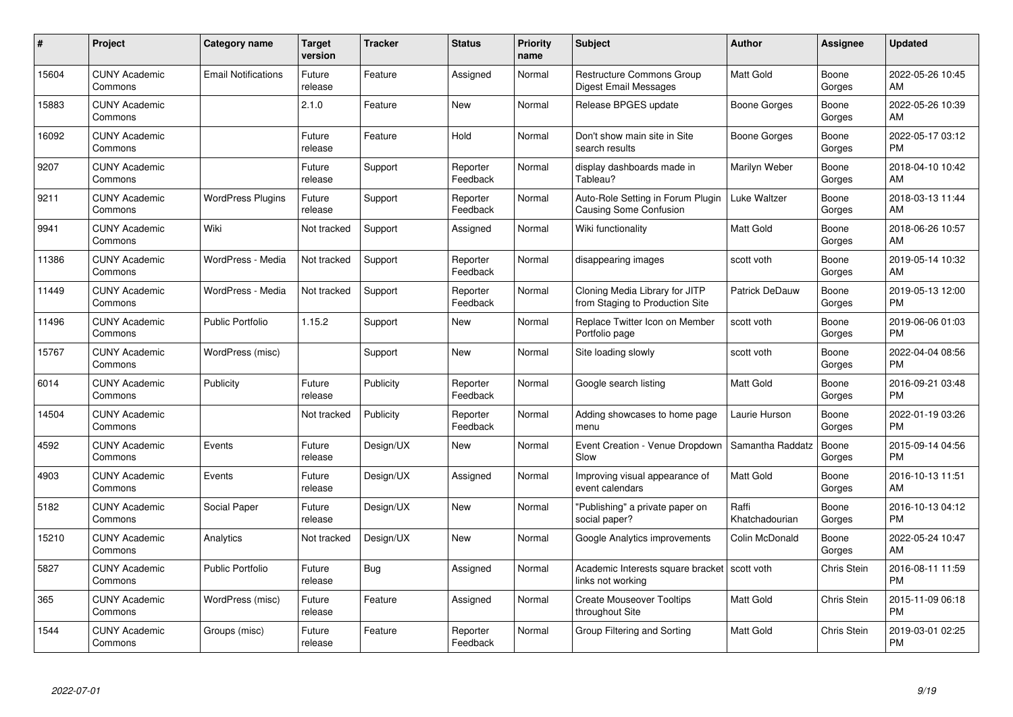| #     | Project                         | <b>Category name</b>       | Target<br>version | <b>Tracker</b> | <b>Status</b>        | <b>Priority</b><br>name | <b>Subject</b>                                                     | <b>Author</b>           | <b>Assignee</b>    | <b>Updated</b>                |
|-------|---------------------------------|----------------------------|-------------------|----------------|----------------------|-------------------------|--------------------------------------------------------------------|-------------------------|--------------------|-------------------------------|
| 15604 | <b>CUNY Academic</b><br>Commons | <b>Email Notifications</b> | Future<br>release | Feature        | Assigned             | Normal                  | Restructure Commons Group<br>Digest Email Messages                 | <b>Matt Gold</b>        | Boone<br>Gorges    | 2022-05-26 10:45<br>AM        |
| 15883 | <b>CUNY Academic</b><br>Commons |                            | 2.1.0             | Feature        | <b>New</b>           | Normal                  | Release BPGES update                                               | Boone Gorges            | Boone<br>Gorges    | 2022-05-26 10:39<br>AM        |
| 16092 | <b>CUNY Academic</b><br>Commons |                            | Future<br>release | Feature        | Hold                 | Normal                  | Don't show main site in Site<br>search results                     | Boone Gorges            | Boone<br>Gorges    | 2022-05-17 03:12<br><b>PM</b> |
| 9207  | <b>CUNY Academic</b><br>Commons |                            | Future<br>release | Support        | Reporter<br>Feedback | Normal                  | display dashboards made in<br>Tableau?                             | Marilyn Weber           | Boone<br>Gorges    | 2018-04-10 10:42<br>AM        |
| 9211  | <b>CUNY Academic</b><br>Commons | <b>WordPress Plugins</b>   | Future<br>release | Support        | Reporter<br>Feedback | Normal                  | Auto-Role Setting in Forum Plugin<br><b>Causing Some Confusion</b> | Luke Waltzer            | Boone<br>Gorges    | 2018-03-13 11:44<br>AM        |
| 9941  | <b>CUNY Academic</b><br>Commons | Wiki                       | Not tracked       | Support        | Assigned             | Normal                  | Wiki functionality                                                 | Matt Gold               | Boone<br>Gorges    | 2018-06-26 10:57<br>AM        |
| 11386 | <b>CUNY Academic</b><br>Commons | WordPress - Media          | Not tracked       | Support        | Reporter<br>Feedback | Normal                  | disappearing images                                                | scott voth              | Boone<br>Gorges    | 2019-05-14 10:32<br>AM        |
| 11449 | <b>CUNY Academic</b><br>Commons | WordPress - Media          | Not tracked       | Support        | Reporter<br>Feedback | Normal                  | Cloning Media Library for JITP<br>from Staging to Production Site  | Patrick DeDauw          | Boone<br>Gorges    | 2019-05-13 12:00<br><b>PM</b> |
| 11496 | <b>CUNY Academic</b><br>Commons | <b>Public Portfolio</b>    | 1.15.2            | Support        | New                  | Normal                  | Replace Twitter Icon on Member<br>Portfolio page                   | scott voth              | Boone<br>Gorges    | 2019-06-06 01:03<br><b>PM</b> |
| 15767 | <b>CUNY Academic</b><br>Commons | WordPress (misc)           |                   | Support        | New                  | Normal                  | Site loading slowly                                                | scott voth              | Boone<br>Gorges    | 2022-04-04 08:56<br><b>PM</b> |
| 6014  | <b>CUNY Academic</b><br>Commons | Publicity                  | Future<br>release | Publicity      | Reporter<br>Feedback | Normal                  | Google search listing                                              | <b>Matt Gold</b>        | Boone<br>Gorges    | 2016-09-21 03:48<br><b>PM</b> |
| 14504 | <b>CUNY Academic</b><br>Commons |                            | Not tracked       | Publicity      | Reporter<br>Feedback | Normal                  | Adding showcases to home page<br>menu                              | Laurie Hurson           | Boone<br>Gorges    | 2022-01-19 03:26<br><b>PM</b> |
| 4592  | <b>CUNY Academic</b><br>Commons | Events                     | Future<br>release | Design/UX      | New                  | Normal                  | Event Creation - Venue Dropdown<br>Slow                            | Samantha Raddatz        | Boone<br>Gorges    | 2015-09-14 04:56<br><b>PM</b> |
| 4903  | <b>CUNY Academic</b><br>Commons | Events                     | Future<br>release | Design/UX      | Assigned             | Normal                  | Improving visual appearance of<br>event calendars                  | Matt Gold               | Boone<br>Gorges    | 2016-10-13 11:51<br>AM        |
| 5182  | <b>CUNY Academic</b><br>Commons | Social Paper               | Future<br>release | Design/UX      | <b>New</b>           | Normal                  | "Publishing" a private paper on<br>social paper?                   | Raffi<br>Khatchadourian | Boone<br>Gorges    | 2016-10-13 04:12<br><b>PM</b> |
| 15210 | <b>CUNY Academic</b><br>Commons | Analytics                  | Not tracked       | Design/UX      | New                  | Normal                  | Google Analytics improvements                                      | Colin McDonald          | Boone<br>Gorges    | 2022-05-24 10:47<br>AM        |
| 5827  | <b>CUNY Academic</b><br>Commons | <b>Public Portfolio</b>    | Future<br>release | <b>Bug</b>     | Assigned             | Normal                  | Academic Interests square bracket<br>links not working             | scott voth              | Chris Stein        | 2016-08-11 11:59<br><b>PM</b> |
| 365   | <b>CUNY Academic</b><br>Commons | WordPress (misc)           | Future<br>release | Feature        | Assigned             | Normal                  | <b>Create Mouseover Tooltips</b><br>throughout Site                | Matt Gold               | Chris Stein        | 2015-11-09 06:18<br><b>PM</b> |
| 1544  | <b>CUNY Academic</b><br>Commons | Groups (misc)              | Future<br>release | Feature        | Reporter<br>Feedback | Normal                  | Group Filtering and Sorting                                        | <b>Matt Gold</b>        | <b>Chris Stein</b> | 2019-03-01 02:25<br>PM        |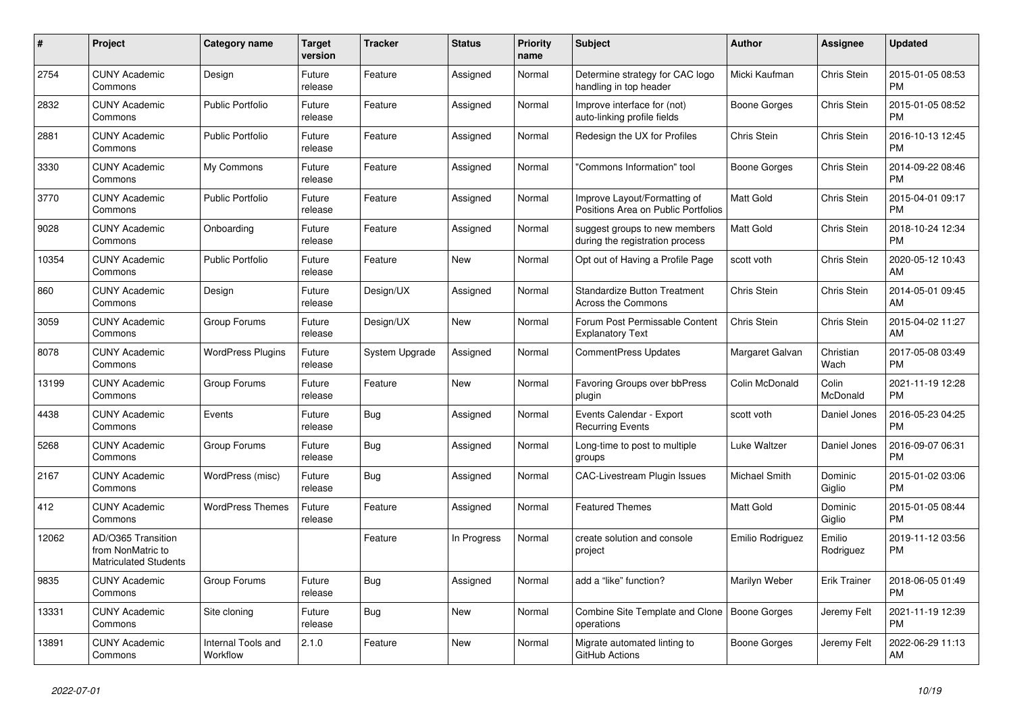| #     | Project                                                                 | Category name                  | Target<br>version | <b>Tracker</b> | <b>Status</b> | <b>Priority</b><br>name | <b>Subject</b>                                                      | Author              | Assignee            | <b>Updated</b>                |
|-------|-------------------------------------------------------------------------|--------------------------------|-------------------|----------------|---------------|-------------------------|---------------------------------------------------------------------|---------------------|---------------------|-------------------------------|
| 2754  | <b>CUNY Academic</b><br>Commons                                         | Design                         | Future<br>release | Feature        | Assigned      | Normal                  | Determine strategy for CAC logo<br>handling in top header           | Micki Kaufman       | Chris Stein         | 2015-01-05 08:53<br><b>PM</b> |
| 2832  | <b>CUNY Academic</b><br>Commons                                         | <b>Public Portfolio</b>        | Future<br>release | Feature        | Assigned      | Normal                  | Improve interface for (not)<br>auto-linking profile fields          | <b>Boone Gorges</b> | Chris Stein         | 2015-01-05 08:52<br><b>PM</b> |
| 2881  | <b>CUNY Academic</b><br>Commons                                         | <b>Public Portfolio</b>        | Future<br>release | Feature        | Assigned      | Normal                  | Redesign the UX for Profiles                                        | Chris Stein         | Chris Stein         | 2016-10-13 12:45<br><b>PM</b> |
| 3330  | <b>CUNY Academic</b><br>Commons                                         | My Commons                     | Future<br>release | Feature        | Assigned      | Normal                  | "Commons Information" tool                                          | <b>Boone Gorges</b> | Chris Stein         | 2014-09-22 08:46<br><b>PM</b> |
| 3770  | <b>CUNY Academic</b><br>Commons                                         | <b>Public Portfolio</b>        | Future<br>release | Feature        | Assigned      | Normal                  | Improve Layout/Formatting of<br>Positions Area on Public Portfolios | <b>Matt Gold</b>    | Chris Stein         | 2015-04-01 09:17<br><b>PM</b> |
| 9028  | <b>CUNY Academic</b><br>Commons                                         | Onboarding                     | Future<br>release | Feature        | Assigned      | Normal                  | suggest groups to new members<br>during the registration process    | <b>Matt Gold</b>    | Chris Stein         | 2018-10-24 12:34<br><b>PM</b> |
| 10354 | <b>CUNY Academic</b><br>Commons                                         | <b>Public Portfolio</b>        | Future<br>release | Feature        | New           | Normal                  | Opt out of Having a Profile Page                                    | scott voth          | Chris Stein         | 2020-05-12 10:43<br>AM        |
| 860   | <b>CUNY Academic</b><br>Commons                                         | Design                         | Future<br>release | Design/UX      | Assigned      | Normal                  | <b>Standardize Button Treatment</b><br>Across the Commons           | Chris Stein         | Chris Stein         | 2014-05-01 09:45<br>AM        |
| 3059  | <b>CUNY Academic</b><br>Commons                                         | Group Forums                   | Future<br>release | Design/UX      | New           | Normal                  | Forum Post Permissable Content<br><b>Explanatory Text</b>           | Chris Stein         | Chris Stein         | 2015-04-02 11:27<br>AM        |
| 8078  | <b>CUNY Academic</b><br>Commons                                         | <b>WordPress Plugins</b>       | Future<br>release | System Upgrade | Assigned      | Normal                  | <b>CommentPress Updates</b>                                         | Margaret Galvan     | Christian<br>Wach   | 2017-05-08 03:49<br><b>PM</b> |
| 13199 | <b>CUNY Academic</b><br>Commons                                         | Group Forums                   | Future<br>release | Feature        | New           | Normal                  | Favoring Groups over bbPress<br>plugin                              | Colin McDonald      | Colin<br>McDonald   | 2021-11-19 12:28<br><b>PM</b> |
| 4438  | <b>CUNY Academic</b><br>Commons                                         | Events                         | Future<br>release | Bug            | Assigned      | Normal                  | Events Calendar - Export<br><b>Recurring Events</b>                 | scott voth          | Daniel Jones        | 2016-05-23 04:25<br><b>PM</b> |
| 5268  | <b>CUNY Academic</b><br>Commons                                         | Group Forums                   | Future<br>release | <b>Bug</b>     | Assigned      | Normal                  | Long-time to post to multiple<br>groups                             | Luke Waltzer        | Daniel Jones        | 2016-09-07 06:31<br><b>PM</b> |
| 2167  | <b>CUNY Academic</b><br>Commons                                         | WordPress (misc)               | Future<br>release | Bug            | Assigned      | Normal                  | CAC-Livestream Plugin Issues                                        | Michael Smith       | Dominic<br>Giglio   | 2015-01-02 03:06<br><b>PM</b> |
| 412   | <b>CUNY Academic</b><br>Commons                                         | <b>WordPress Themes</b>        | Future<br>release | Feature        | Assigned      | Normal                  | <b>Featured Themes</b>                                              | <b>Matt Gold</b>    | Dominic<br>Giglio   | 2015-01-05 08:44<br><b>PM</b> |
| 12062 | AD/O365 Transition<br>from NonMatric to<br><b>Matriculated Students</b> |                                |                   | Feature        | In Progress   | Normal                  | create solution and console<br>project                              | Emilio Rodriguez    | Emilio<br>Rodriguez | 2019-11-12 03:56<br>PM        |
| 9835  | <b>CUNY Academic</b><br>Commons                                         | Group Forums                   | Future<br>release | <b>Bug</b>     | Assigned      | Normal                  | add a "like" function?                                              | Marilyn Weber       | <b>Erik Trainer</b> | 2018-06-05 01:49<br><b>PM</b> |
| 13331 | <b>CUNY Academic</b><br>Commons                                         | Site cloning                   | Future<br>release | Bug            | New           | Normal                  | Combine Site Template and Clone   Boone Gorges<br>operations        |                     | Jeremy Felt         | 2021-11-19 12:39<br><b>PM</b> |
| 13891 | <b>CUNY Academic</b><br>Commons                                         | Internal Tools and<br>Workflow | 2.1.0             | Feature        | New           | Normal                  | Migrate automated linting to<br>GitHub Actions                      | Boone Gorges        | Jeremy Felt         | 2022-06-29 11:13<br>AM        |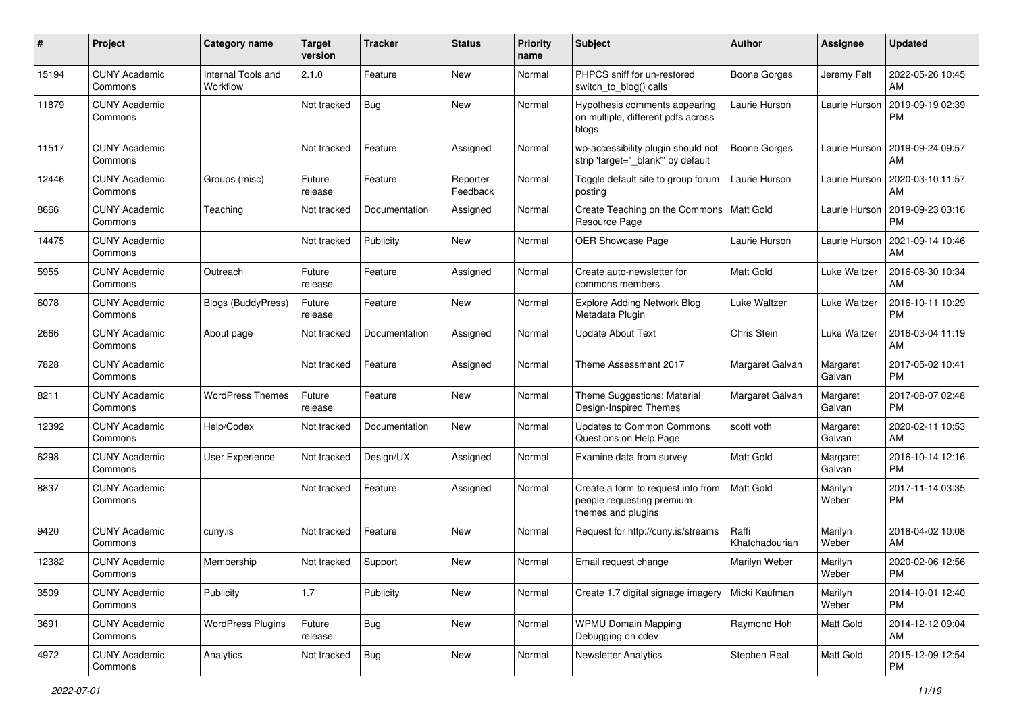| #     | Project                         | <b>Category name</b>           | <b>Target</b><br>version | <b>Tracker</b> | <b>Status</b>        | <b>Priority</b><br>name | Subject                                                                               | <b>Author</b>           | <b>Assignee</b>    | <b>Updated</b>                |
|-------|---------------------------------|--------------------------------|--------------------------|----------------|----------------------|-------------------------|---------------------------------------------------------------------------------------|-------------------------|--------------------|-------------------------------|
| 15194 | <b>CUNY Academic</b><br>Commons | Internal Tools and<br>Workflow | 2.1.0                    | Feature        | New                  | Normal                  | PHPCS sniff for un-restored<br>switch to blog() calls                                 | <b>Boone Gorges</b>     | Jeremy Felt        | 2022-05-26 10:45<br>AM        |
| 11879 | <b>CUNY Academic</b><br>Commons |                                | Not tracked              | <b>Bug</b>     | New                  | Normal                  | Hypothesis comments appearing<br>on multiple, different pdfs across<br>blogs          | Laurie Hurson           | Laurie Hurson      | 2019-09-19 02:39<br><b>PM</b> |
| 11517 | <b>CUNY Academic</b><br>Commons |                                | Not tracked              | Feature        | Assigned             | Normal                  | wp-accessibility plugin should not<br>strip 'target="_blank"' by default              | <b>Boone Gorges</b>     | Laurie Hurson      | 2019-09-24 09:57<br>AM        |
| 12446 | <b>CUNY Academic</b><br>Commons | Groups (misc)                  | Future<br>release        | Feature        | Reporter<br>Feedback | Normal                  | Toggle default site to group forum<br>posting                                         | Laurie Hurson           | Laurie Hurson      | 2020-03-10 11:57<br>AM        |
| 8666  | <b>CUNY Academic</b><br>Commons | Teaching                       | Not tracked              | Documentation  | Assigned             | Normal                  | Create Teaching on the Commons<br>Resource Page                                       | <b>Matt Gold</b>        | Laurie Hurson      | 2019-09-23 03:16<br><b>PM</b> |
| 14475 | <b>CUNY Academic</b><br>Commons |                                | Not tracked              | Publicity      | New                  | Normal                  | <b>OER Showcase Page</b>                                                              | Laurie Hurson           | Laurie Hurson      | 2021-09-14 10:46<br>AM        |
| 5955  | <b>CUNY Academic</b><br>Commons | Outreach                       | Future<br>release        | Feature        | Assigned             | Normal                  | Create auto-newsletter for<br>commons members                                         | <b>Matt Gold</b>        | Luke Waltzer       | 2016-08-30 10:34<br>AM        |
| 6078  | <b>CUNY Academic</b><br>Commons | <b>Blogs (BuddyPress)</b>      | Future<br>release        | Feature        | New                  | Normal                  | <b>Explore Adding Network Blog</b><br>Metadata Plugin                                 | Luke Waltzer            | Luke Waltzer       | 2016-10-11 10:29<br><b>PM</b> |
| 2666  | <b>CUNY Academic</b><br>Commons | About page                     | Not tracked              | Documentation  | Assigned             | Normal                  | <b>Update About Text</b>                                                              | Chris Stein             | Luke Waltzer       | 2016-03-04 11:19<br>AM        |
| 7828  | <b>CUNY Academic</b><br>Commons |                                | Not tracked              | Feature        | Assigned             | Normal                  | Theme Assessment 2017                                                                 | Margaret Galvan         | Margaret<br>Galvan | 2017-05-02 10:41<br><b>PM</b> |
| 8211  | <b>CUNY Academic</b><br>Commons | <b>WordPress Themes</b>        | Future<br>release        | Feature        | New                  | Normal                  | Theme Suggestions: Material<br>Design-Inspired Themes                                 | Margaret Galvan         | Margaret<br>Galvan | 2017-08-07 02:48<br><b>PM</b> |
| 12392 | <b>CUNY Academic</b><br>Commons | Help/Codex                     | Not tracked              | Documentation  | New                  | Normal                  | <b>Updates to Common Commons</b><br>Questions on Help Page                            | scott voth              | Margaret<br>Galvan | 2020-02-11 10:53<br>AM        |
| 6298  | <b>CUNY Academic</b><br>Commons | User Experience                | Not tracked              | Design/UX      | Assigned             | Normal                  | Examine data from survey                                                              | <b>Matt Gold</b>        | Margaret<br>Galvan | 2016-10-14 12:16<br><b>PM</b> |
| 8837  | <b>CUNY Academic</b><br>Commons |                                | Not tracked              | Feature        | Assigned             | Normal                  | Create a form to request info from<br>people requesting premium<br>themes and plugins | <b>Matt Gold</b>        | Marilyn<br>Weber   | 2017-11-14 03:35<br><b>PM</b> |
| 9420  | <b>CUNY Academic</b><br>Commons | cuny.is                        | Not tracked              | Feature        | New                  | Normal                  | Request for http://cuny.is/streams                                                    | Raffi<br>Khatchadourian | Marilyn<br>Weber   | 2018-04-02 10:08<br>AM.       |
| 12382 | <b>CUNY Academic</b><br>Commons | Membership                     | Not tracked              | Support        | New                  | Normal                  | Email request change                                                                  | Marilyn Weber           | Marilyn<br>Weber   | 2020-02-06 12:56<br>PM        |
| 3509  | <b>CUNY Academic</b><br>Commons | Publicity                      | 1.7                      | Publicity      | New                  | Normal                  | Create 1.7 digital signage imagery                                                    | Micki Kaufman           | Marilyn<br>Weber   | 2014-10-01 12:40<br>PM.       |
| 3691  | <b>CUNY Academic</b><br>Commons | <b>WordPress Plugins</b>       | Future<br>release        | <b>Bug</b>     | New                  | Normal                  | <b>WPMU Domain Mapping</b><br>Debugging on cdev                                       | Raymond Hoh             | Matt Gold          | 2014-12-12 09:04<br>AM        |
| 4972  | <b>CUNY Academic</b><br>Commons | Analytics                      | Not tracked              | <b>Bug</b>     | New                  | Normal                  | <b>Newsletter Analytics</b>                                                           | Stephen Real            | Matt Gold          | 2015-12-09 12:54<br><b>PM</b> |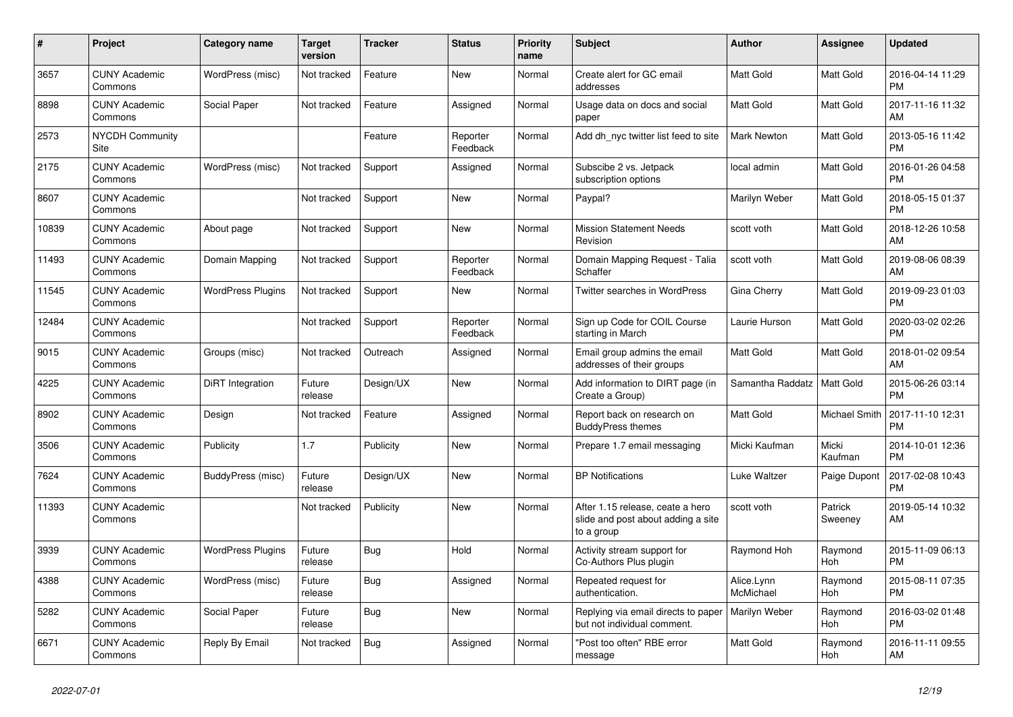| #     | <b>Project</b>                  | Category name            | <b>Target</b><br>version | <b>Tracker</b> | <b>Status</b>        | <b>Priority</b><br>name | <b>Subject</b>                                                                       | <b>Author</b>                | Assignee           | <b>Updated</b>                |
|-------|---------------------------------|--------------------------|--------------------------|----------------|----------------------|-------------------------|--------------------------------------------------------------------------------------|------------------------------|--------------------|-------------------------------|
| 3657  | <b>CUNY Academic</b><br>Commons | WordPress (misc)         | Not tracked              | Feature        | New                  | Normal                  | Create alert for GC email<br>addresses                                               | <b>Matt Gold</b>             | Matt Gold          | 2016-04-14 11:29<br><b>PM</b> |
| 8898  | <b>CUNY Academic</b><br>Commons | Social Paper             | Not tracked              | Feature        | Assigned             | Normal                  | Usage data on docs and social<br>paper                                               | Matt Gold                    | Matt Gold          | 2017-11-16 11:32<br>AM        |
| 2573  | <b>NYCDH Community</b><br>Site  |                          |                          | Feature        | Reporter<br>Feedback | Normal                  | Add dh nyc twitter list feed to site                                                 | <b>Mark Newton</b>           | Matt Gold          | 2013-05-16 11:42<br><b>PM</b> |
| 2175  | <b>CUNY Academic</b><br>Commons | WordPress (misc)         | Not tracked              | Support        | Assigned             | Normal                  | Subscibe 2 vs. Jetpack<br>subscription options                                       | local admin                  | Matt Gold          | 2016-01-26 04:58<br><b>PM</b> |
| 8607  | <b>CUNY Academic</b><br>Commons |                          | Not tracked              | Support        | New                  | Normal                  | Paypal?                                                                              | Marilyn Weber                | Matt Gold          | 2018-05-15 01:37<br><b>PM</b> |
| 10839 | <b>CUNY Academic</b><br>Commons | About page               | Not tracked              | Support        | New                  | Normal                  | <b>Mission Statement Needs</b><br>Revision                                           | scott voth                   | Matt Gold          | 2018-12-26 10:58<br>AM        |
| 11493 | <b>CUNY Academic</b><br>Commons | Domain Mapping           | Not tracked              | Support        | Reporter<br>Feedback | Normal                  | Domain Mapping Request - Talia<br>Schaffer                                           | scott voth                   | Matt Gold          | 2019-08-06 08:39<br>AM        |
| 11545 | <b>CUNY Academic</b><br>Commons | <b>WordPress Plugins</b> | Not tracked              | Support        | New                  | Normal                  | <b>Twitter searches in WordPress</b>                                                 | Gina Cherry                  | Matt Gold          | 2019-09-23 01:03<br><b>PM</b> |
| 12484 | <b>CUNY Academic</b><br>Commons |                          | Not tracked              | Support        | Reporter<br>Feedback | Normal                  | Sign up Code for COIL Course<br>starting in March                                    | Laurie Hurson                | Matt Gold          | 2020-03-02 02:26<br><b>PM</b> |
| 9015  | <b>CUNY Academic</b><br>Commons | Groups (misc)            | Not tracked              | Outreach       | Assigned             | Normal                  | Email group admins the email<br>addresses of their groups                            | <b>Matt Gold</b>             | Matt Gold          | 2018-01-02 09:54<br>AM        |
| 4225  | <b>CUNY Academic</b><br>Commons | DiRT Integration         | Future<br>release        | Design/UX      | New                  | Normal                  | Add information to DIRT page (in<br>Create a Group)                                  | Samantha Raddatz   Matt Gold |                    | 2015-06-26 03:14<br><b>PM</b> |
| 8902  | <b>CUNY Academic</b><br>Commons | Design                   | Not tracked              | Feature        | Assigned             | Normal                  | Report back on research on<br><b>BuddyPress themes</b>                               | Matt Gold                    | Michael Smith      | 2017-11-10 12:31<br><b>PM</b> |
| 3506  | <b>CUNY Academic</b><br>Commons | Publicity                | 1.7                      | Publicity      | <b>New</b>           | Normal                  | Prepare 1.7 email messaging                                                          | Micki Kaufman                | Micki<br>Kaufman   | 2014-10-01 12:36<br><b>PM</b> |
| 7624  | <b>CUNY Academic</b><br>Commons | BuddyPress (misc)        | Future<br>release        | Design/UX      | <b>New</b>           | Normal                  | <b>BP Notifications</b>                                                              | Luke Waltzer                 | Paige Dupont       | 2017-02-08 10:43<br><b>PM</b> |
| 11393 | <b>CUNY Academic</b><br>Commons |                          | Not tracked              | Publicity      | <b>New</b>           | Normal                  | After 1.15 release, ceate a hero<br>slide and post about adding a site<br>to a group | scott voth                   | Patrick<br>Sweeney | 2019-05-14 10:32<br>AM        |
| 3939  | <b>CUNY Academic</b><br>Commons | <b>WordPress Plugins</b> | Future<br>release        | Bug            | Hold                 | Normal                  | Activity stream support for<br>Co-Authors Plus plugin                                | Raymond Hoh                  | Raymond<br>Hoh     | 2015-11-09 06:13<br><b>PM</b> |
| 4388  | <b>CUNY Academic</b><br>Commons | WordPress (misc)         | Future<br>release        | Bug            | Assigned             | Normal                  | Repeated request for<br>authentication.                                              | Alice.Lynn<br>McMichael      | Raymond<br>Hoh     | 2015-08-11 07:35<br><b>PM</b> |
| 5282  | <b>CUNY Academic</b><br>Commons | Social Paper             | Future<br>release        | <b>Bug</b>     | New                  | Normal                  | Replying via email directs to paper<br>but not individual comment.                   | Marilyn Weber                | Raymond<br>Hoh     | 2016-03-02 01:48<br><b>PM</b> |
| 6671  | <b>CUNY Academic</b><br>Commons | Reply By Email           | Not tracked              | Bug            | Assigned             | Normal                  | "Post too often" RBE error<br>message                                                | <b>Matt Gold</b>             | Raymond<br>Hoh     | 2016-11-11 09:55<br>AM        |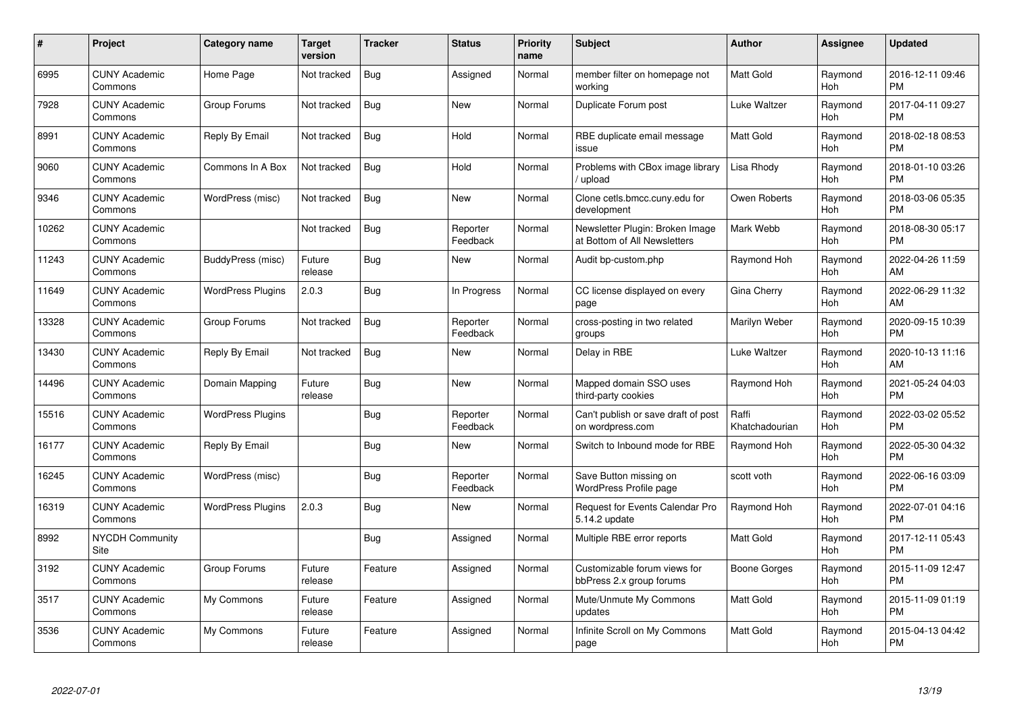| $\#$  | Project                               | <b>Category name</b>     | <b>Target</b><br>version | <b>Tracker</b> | <b>Status</b>        | Priority<br>name | <b>Subject</b>                                                  | <b>Author</b>           | <b>Assignee</b> | <b>Updated</b>                |
|-------|---------------------------------------|--------------------------|--------------------------|----------------|----------------------|------------------|-----------------------------------------------------------------|-------------------------|-----------------|-------------------------------|
| 6995  | <b>CUNY Academic</b><br>Commons       | Home Page                | Not tracked              | <b>Bug</b>     | Assigned             | Normal           | member filter on homepage not<br>working                        | <b>Matt Gold</b>        | Raymond<br>Hoh  | 2016-12-11 09:46<br><b>PM</b> |
| 7928  | <b>CUNY Academic</b><br>Commons       | Group Forums             | Not tracked              | Bug            | <b>New</b>           | Normal           | Duplicate Forum post                                            | Luke Waltzer            | Raymond<br>Hoh  | 2017-04-11 09:27<br><b>PM</b> |
| 8991  | <b>CUNY Academic</b><br>Commons       | Reply By Email           | Not tracked              | Bug            | Hold                 | Normal           | RBE duplicate email message<br>issue                            | Matt Gold               | Raymond<br>Hoh  | 2018-02-18 08:53<br><b>PM</b> |
| 9060  | <b>CUNY Academic</b><br>Commons       | Commons In A Box         | Not tracked              | <b>Bug</b>     | Hold                 | Normal           | Problems with CBox image library<br>upload                      | Lisa Rhody              | Raymond<br>Hoh  | 2018-01-10 03:26<br><b>PM</b> |
| 9346  | <b>CUNY Academic</b><br>Commons       | WordPress (misc)         | Not tracked              | Bug            | <b>New</b>           | Normal           | Clone cetls.bmcc.cuny.edu for<br>development                    | Owen Roberts            | Raymond<br>Hoh  | 2018-03-06 05:35<br><b>PM</b> |
| 10262 | <b>CUNY Academic</b><br>Commons       |                          | Not tracked              | Bug            | Reporter<br>Feedback | Normal           | Newsletter Plugin: Broken Image<br>at Bottom of All Newsletters | Mark Webb               | Raymond<br>Hoh  | 2018-08-30 05:17<br><b>PM</b> |
| 11243 | <b>CUNY Academic</b><br>Commons       | BuddyPress (misc)        | Future<br>release        | Bug            | New                  | Normal           | Audit bp-custom.php                                             | Raymond Hoh             | Raymond<br>Hoh  | 2022-04-26 11:59<br>AM        |
| 11649 | <b>CUNY Academic</b><br>Commons       | <b>WordPress Plugins</b> | 2.0.3                    | Bug            | In Progress          | Normal           | CC license displayed on every<br>page                           | Gina Cherry             | Raymond<br>Hoh  | 2022-06-29 11:32<br>AM        |
| 13328 | <b>CUNY Academic</b><br>Commons       | Group Forums             | Not tracked              | Bug            | Reporter<br>Feedback | Normal           | cross-posting in two related<br>groups                          | Marilyn Weber           | Raymond<br>Hoh  | 2020-09-15 10:39<br><b>PM</b> |
| 13430 | <b>CUNY Academic</b><br>Commons       | Reply By Email           | Not tracked              | Bug            | New                  | Normal           | Delay in RBE                                                    | Luke Waltzer            | Raymond<br>Hoh  | 2020-10-13 11:16<br>AM        |
| 14496 | <b>CUNY Academic</b><br>Commons       | Domain Mapping           | Future<br>release        | Bug            | <b>New</b>           | Normal           | Mapped domain SSO uses<br>third-party cookies                   | Raymond Hoh             | Raymond<br>Hoh  | 2021-05-24 04:03<br><b>PM</b> |
| 15516 | <b>CUNY Academic</b><br>Commons       | <b>WordPress Plugins</b> |                          | Bug            | Reporter<br>Feedback | Normal           | Can't publish or save draft of post<br>on wordpress.com         | Raffi<br>Khatchadourian | Raymond<br>Hoh  | 2022-03-02 05:52<br><b>PM</b> |
| 16177 | <b>CUNY Academic</b><br>Commons       | Reply By Email           |                          | Bug            | New                  | Normal           | Switch to Inbound mode for RBE                                  | Raymond Hoh             | Raymond<br>Hoh  | 2022-05-30 04:32<br><b>PM</b> |
| 16245 | <b>CUNY Academic</b><br>Commons       | WordPress (misc)         |                          | Bug            | Reporter<br>Feedback | Normal           | Save Button missing on<br>WordPress Profile page                | scott voth              | Raymond<br>Hoh  | 2022-06-16 03:09<br><b>PM</b> |
| 16319 | <b>CUNY Academic</b><br>Commons       | <b>WordPress Plugins</b> | 2.0.3                    | <b>Bug</b>     | New                  | Normal           | <b>Request for Events Calendar Pro</b><br>5.14.2 update         | Raymond Hoh             | Raymond<br>Hoh  | 2022-07-01 04:16<br><b>PM</b> |
| 8992  | <b>NYCDH Community</b><br><b>Site</b> |                          |                          | Bug            | Assigned             | Normal           | Multiple RBE error reports                                      | <b>Matt Gold</b>        | Raymond<br>Hoh  | 2017-12-11 05:43<br><b>PM</b> |
| 3192  | <b>CUNY Academic</b><br>Commons       | Group Forums             | Future<br>release        | Feature        | Assigned             | Normal           | Customizable forum views for<br>bbPress 2.x group forums        | Boone Gorges            | Raymond<br>Hoh  | 2015-11-09 12:47<br><b>PM</b> |
| 3517  | <b>CUNY Academic</b><br>Commons       | My Commons               | Future<br>release        | Feature        | Assigned             | Normal           | Mute/Unmute My Commons<br>updates                               | <b>Matt Gold</b>        | Raymond<br>Hoh  | 2015-11-09 01:19<br><b>PM</b> |
| 3536  | CUNY Academic<br>Commons              | My Commons               | Future<br>release        | Feature        | Assigned             | Normal           | Infinite Scroll on My Commons<br>page                           | <b>Matt Gold</b>        | Raymond<br>Hoh  | 2015-04-13 04:42<br><b>PM</b> |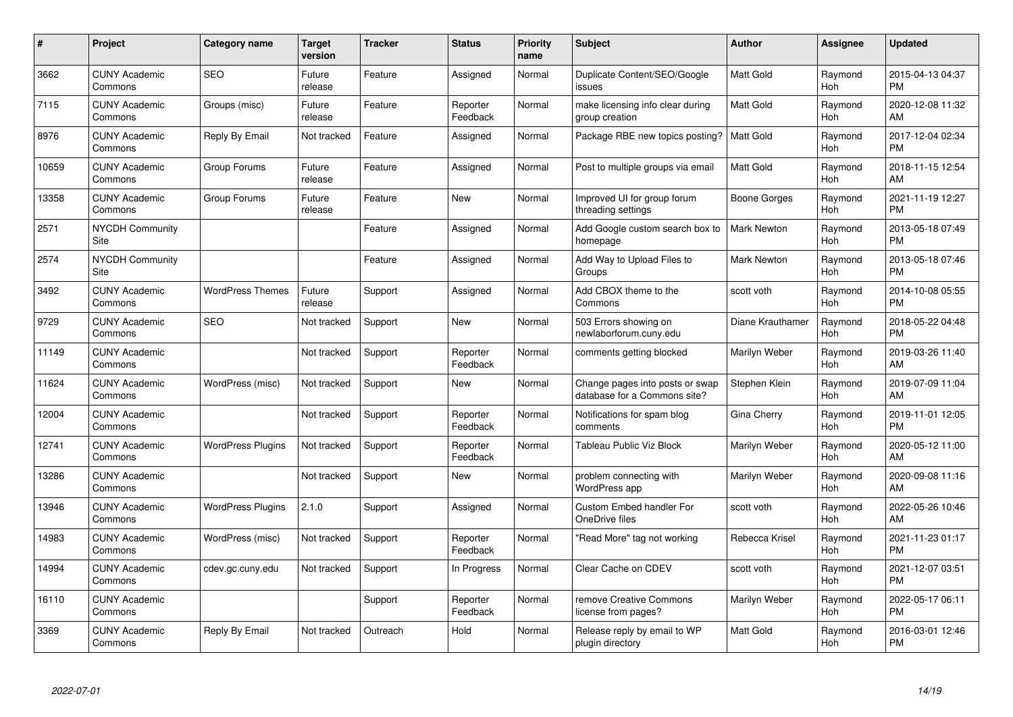| #     | Project                         | Category name            | <b>Target</b><br>version | <b>Tracker</b> | <b>Status</b>        | <b>Priority</b><br>name | <b>Subject</b>                                                  | <b>Author</b>      | <b>Assignee</b> | <b>Updated</b>                |
|-------|---------------------------------|--------------------------|--------------------------|----------------|----------------------|-------------------------|-----------------------------------------------------------------|--------------------|-----------------|-------------------------------|
| 3662  | <b>CUNY Academic</b><br>Commons | <b>SEO</b>               | Future<br>release        | Feature        | Assigned             | Normal                  | Duplicate Content/SEO/Google<br>issues                          | <b>Matt Gold</b>   | Raymond<br>Hoh  | 2015-04-13 04:37<br><b>PM</b> |
| 7115  | <b>CUNY Academic</b><br>Commons | Groups (misc)            | Future<br>release        | Feature        | Reporter<br>Feedback | Normal                  | make licensing info clear during<br>group creation              | <b>Matt Gold</b>   | Raymond<br>Hoh  | 2020-12-08 11:32<br>AM        |
| 8976  | <b>CUNY Academic</b><br>Commons | Reply By Email           | Not tracked              | Feature        | Assigned             | Normal                  | Package RBE new topics posting?                                 | Matt Gold          | Raymond<br>Hoh  | 2017-12-04 02:34<br><b>PM</b> |
| 10659 | <b>CUNY Academic</b><br>Commons | Group Forums             | Future<br>release        | Feature        | Assigned             | Normal                  | Post to multiple groups via email                               | Matt Gold          | Raymond<br>Hoh  | 2018-11-15 12:54<br>AM        |
| 13358 | <b>CUNY Academic</b><br>Commons | Group Forums             | Future<br>release        | Feature        | <b>New</b>           | Normal                  | Improved UI for group forum<br>threading settings               | Boone Gorges       | Raymond<br>Hoh  | 2021-11-19 12:27<br><b>PM</b> |
| 2571  | <b>NYCDH Community</b><br>Site  |                          |                          | Feature        | Assigned             | Normal                  | Add Google custom search box to<br>homepage                     | <b>Mark Newton</b> | Raymond<br>Hoh  | 2013-05-18 07:49<br><b>PM</b> |
| 2574  | <b>NYCDH Community</b><br>Site  |                          |                          | Feature        | Assigned             | Normal                  | Add Way to Upload Files to<br>Groups                            | <b>Mark Newton</b> | Raymond<br>Hoh  | 2013-05-18 07:46<br><b>PM</b> |
| 3492  | <b>CUNY Academic</b><br>Commons | <b>WordPress Themes</b>  | Future<br>release        | Support        | Assigned             | Normal                  | Add CBOX theme to the<br>Commons                                | scott voth         | Raymond<br>Hoh  | 2014-10-08 05:55<br><b>PM</b> |
| 9729  | <b>CUNY Academic</b><br>Commons | <b>SEO</b>               | Not tracked              | Support        | New                  | Normal                  | 503 Errors showing on<br>newlaborforum.cuny.edu                 | Diane Krauthamer   | Raymond<br>Hoh  | 2018-05-22 04:48<br><b>PM</b> |
| 11149 | <b>CUNY Academic</b><br>Commons |                          | Not tracked              | Support        | Reporter<br>Feedback | Normal                  | comments getting blocked                                        | Marilyn Weber      | Raymond<br>Hoh  | 2019-03-26 11:40<br>AM        |
| 11624 | <b>CUNY Academic</b><br>Commons | WordPress (misc)         | Not tracked              | Support        | New                  | Normal                  | Change pages into posts or swap<br>database for a Commons site? | Stephen Klein      | Raymond<br>Hoh  | 2019-07-09 11:04<br>AM        |
| 12004 | <b>CUNY Academic</b><br>Commons |                          | Not tracked              | Support        | Reporter<br>Feedback | Normal                  | Notifications for spam blog<br>comments                         | Gina Cherry        | Raymond<br>Hoh  | 2019-11-01 12:05<br><b>PM</b> |
| 12741 | <b>CUNY Academic</b><br>Commons | <b>WordPress Plugins</b> | Not tracked              | Support        | Reporter<br>Feedback | Normal                  | Tableau Public Viz Block                                        | Marilyn Weber      | Raymond<br>Hoh  | 2020-05-12 11:00<br>AM        |
| 13286 | <b>CUNY Academic</b><br>Commons |                          | Not tracked              | Support        | <b>New</b>           | Normal                  | problem connecting with<br><b>WordPress app</b>                 | Marilyn Weber      | Raymond<br>Hoh  | 2020-09-08 11:16<br>AM        |
| 13946 | <b>CUNY Academic</b><br>Commons | <b>WordPress Plugins</b> | 2.1.0                    | Support        | Assigned             | Normal                  | <b>Custom Embed handler For</b><br>OneDrive files               | scott voth         | Raymond<br>Hoh  | 2022-05-26 10:46<br>AM        |
| 14983 | <b>CUNY Academic</b><br>Commons | WordPress (misc)         | Not tracked              | Support        | Reporter<br>Feedback | Normal                  | "Read More" tag not working                                     | Rebecca Krisel     | Raymond<br>Hoh  | 2021-11-23 01:17<br><b>PM</b> |
| 14994 | <b>CUNY Academic</b><br>Commons | cdev.gc.cuny.edu         | Not tracked              | Support        | In Progress          | Normal                  | Clear Cache on CDEV                                             | scott voth         | Raymond<br>Hoh  | 2021-12-07 03:51<br><b>PM</b> |
| 16110 | <b>CUNY Academic</b><br>Commons |                          |                          | Support        | Reporter<br>Feedback | Normal                  | remove Creative Commons<br>license from pages?                  | Marilyn Weber      | Raymond<br>Hoh  | 2022-05-17 06:11<br><b>PM</b> |
| 3369  | <b>CUNY Academic</b><br>Commons | Reply By Email           | Not tracked              | Outreach       | Hold                 | Normal                  | Release reply by email to WP<br>plugin directory                | <b>Matt Gold</b>   | Raymond<br>Hoh  | 2016-03-01 12:46<br><b>PM</b> |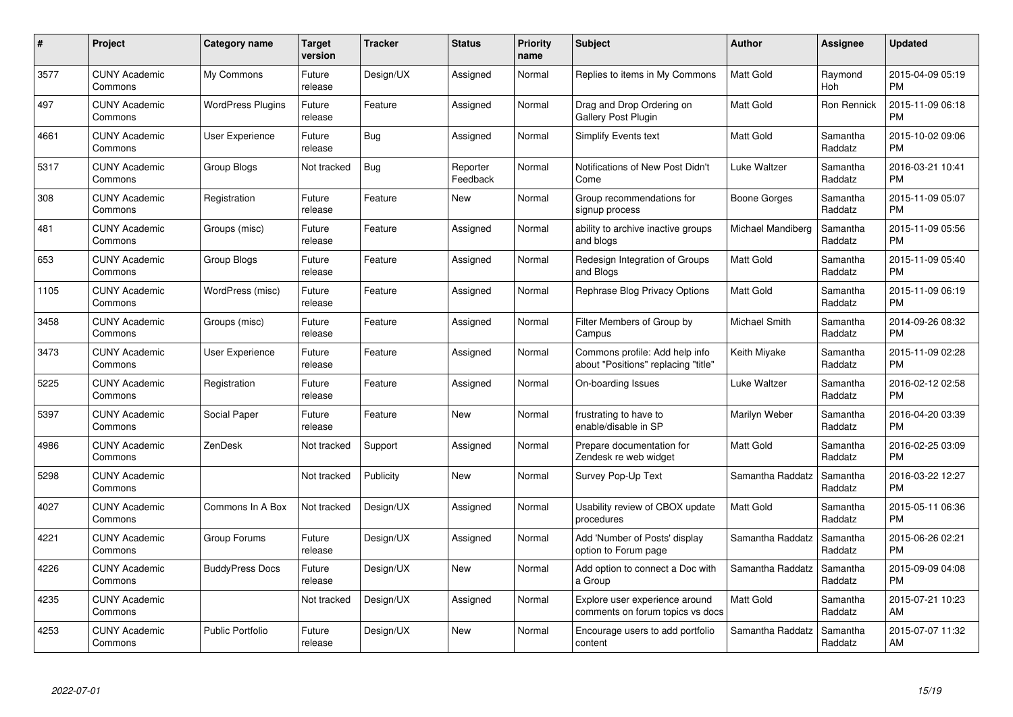| #    | Project                         | <b>Category name</b>     | Target<br>version | <b>Tracker</b> | <b>Status</b>        | Priority<br>name | <b>Subject</b>                                                        | <b>Author</b>     | <b>Assignee</b>     | <b>Updated</b>                |
|------|---------------------------------|--------------------------|-------------------|----------------|----------------------|------------------|-----------------------------------------------------------------------|-------------------|---------------------|-------------------------------|
| 3577 | <b>CUNY Academic</b><br>Commons | My Commons               | Future<br>release | Design/UX      | Assigned             | Normal           | Replies to items in My Commons                                        | <b>Matt Gold</b>  | Raymond<br>Hoh      | 2015-04-09 05:19<br><b>PM</b> |
| 497  | <b>CUNY Academic</b><br>Commons | <b>WordPress Plugins</b> | Future<br>release | Feature        | Assigned             | Normal           | Drag and Drop Ordering on<br><b>Gallery Post Plugin</b>               | Matt Gold         | Ron Rennick         | 2015-11-09 06:18<br><b>PM</b> |
| 4661 | <b>CUNY Academic</b><br>Commons | <b>User Experience</b>   | Future<br>release | <b>Bug</b>     | Assigned             | Normal           | <b>Simplify Events text</b>                                           | <b>Matt Gold</b>  | Samantha<br>Raddatz | 2015-10-02 09:06<br><b>PM</b> |
| 5317 | <b>CUNY Academic</b><br>Commons | Group Blogs              | Not tracked       | <b>Bug</b>     | Reporter<br>Feedback | Normal           | Notifications of New Post Didn't<br>Come                              | Luke Waltzer      | Samantha<br>Raddatz | 2016-03-21 10:41<br><b>PM</b> |
| 308  | <b>CUNY Academic</b><br>Commons | Registration             | Future<br>release | Feature        | <b>New</b>           | Normal           | Group recommendations for<br>signup process                           | Boone Gorges      | Samantha<br>Raddatz | 2015-11-09 05:07<br><b>PM</b> |
| 481  | <b>CUNY Academic</b><br>Commons | Groups (misc)            | Future<br>release | Feature        | Assigned             | Normal           | ability to archive inactive groups<br>and blogs                       | Michael Mandiberg | Samantha<br>Raddatz | 2015-11-09 05:56<br><b>PM</b> |
| 653  | <b>CUNY Academic</b><br>Commons | <b>Group Blogs</b>       | Future<br>release | Feature        | Assigned             | Normal           | Redesign Integration of Groups<br>and Blogs                           | Matt Gold         | Samantha<br>Raddatz | 2015-11-09 05:40<br><b>PM</b> |
| 1105 | <b>CUNY Academic</b><br>Commons | WordPress (misc)         | Future<br>release | Feature        | Assigned             | Normal           | Rephrase Blog Privacy Options                                         | <b>Matt Gold</b>  | Samantha<br>Raddatz | 2015-11-09 06:19<br><b>PM</b> |
| 3458 | <b>CUNY Academic</b><br>Commons | Groups (misc)            | Future<br>release | Feature        | Assigned             | Normal           | Filter Members of Group by<br>Campus                                  | Michael Smith     | Samantha<br>Raddatz | 2014-09-26 08:32<br><b>PM</b> |
| 3473 | <b>CUNY Academic</b><br>Commons | <b>User Experience</b>   | Future<br>release | Feature        | Assigned             | Normal           | Commons profile: Add help info<br>about "Positions" replacing "title" | Keith Miyake      | Samantha<br>Raddatz | 2015-11-09 02:28<br>PM        |
| 5225 | <b>CUNY Academic</b><br>Commons | Registration             | Future<br>release | Feature        | Assigned             | Normal           | On-boarding Issues                                                    | Luke Waltzer      | Samantha<br>Raddatz | 2016-02-12 02:58<br><b>PM</b> |
| 5397 | <b>CUNY Academic</b><br>Commons | Social Paper             | Future<br>release | Feature        | New                  | Normal           | frustrating to have to<br>enable/disable in SP                        | Marilyn Weber     | Samantha<br>Raddatz | 2016-04-20 03:39<br><b>PM</b> |
| 4986 | <b>CUNY Academic</b><br>Commons | ZenDesk                  | Not tracked       | Support        | Assigned             | Normal           | Prepare documentation for<br>Zendesk re web widget                    | Matt Gold         | Samantha<br>Raddatz | 2016-02-25 03:09<br>PM.       |
| 5298 | <b>CUNY Academic</b><br>Commons |                          | Not tracked       | Publicity      | New                  | Normal           | Survey Pop-Up Text                                                    | Samantha Raddatz  | Samantha<br>Raddatz | 2016-03-22 12:27<br><b>PM</b> |
| 4027 | <b>CUNY Academic</b><br>Commons | Commons In A Box         | Not tracked       | Design/UX      | Assigned             | Normal           | Usability review of CBOX update<br>procedures                         | Matt Gold         | Samantha<br>Raddatz | 2015-05-11 06:36<br><b>PM</b> |
| 4221 | <b>CUNY Academic</b><br>Commons | Group Forums             | Future<br>release | Design/UX      | Assigned             | Normal           | Add 'Number of Posts' display<br>option to Forum page                 | Samantha Raddatz  | Samantha<br>Raddatz | 2015-06-26 02:21<br><b>PM</b> |
| 4226 | <b>CUNY Academic</b><br>Commons | <b>BuddyPress Docs</b>   | Future<br>release | Design/UX      | New                  | Normal           | Add option to connect a Doc with<br>a Group                           | Samantha Raddatz  | Samantha<br>Raddatz | 2015-09-09 04:08<br><b>PM</b> |
| 4235 | <b>CUNY Academic</b><br>Commons |                          | Not tracked       | Design/UX      | Assigned             | Normal           | Explore user experience around<br>comments on forum topics vs docs    | <b>Matt Gold</b>  | Samantha<br>Raddatz | 2015-07-21 10:23<br>AM        |
| 4253 | <b>CUNY Academic</b><br>Commons | <b>Public Portfolio</b>  | Future<br>release | Design/UX      | <b>New</b>           | Normal           | Encourage users to add portfolio<br>content                           | Samantha Raddatz  | Samantha<br>Raddatz | 2015-07-07 11:32<br>AM        |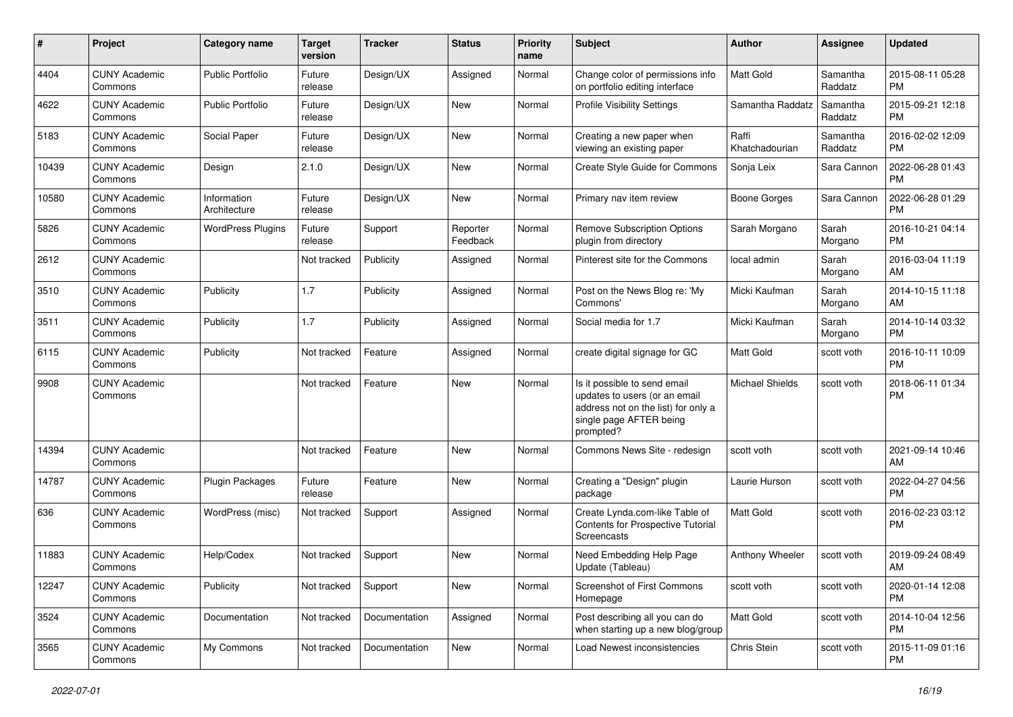| #     | Project                         | <b>Category name</b>        | <b>Target</b><br>version | <b>Tracker</b> | <b>Status</b>        | <b>Priority</b><br>name | Subject                                                                                                                                      | Author                  | Assignee            | <b>Updated</b>                |
|-------|---------------------------------|-----------------------------|--------------------------|----------------|----------------------|-------------------------|----------------------------------------------------------------------------------------------------------------------------------------------|-------------------------|---------------------|-------------------------------|
| 4404  | <b>CUNY Academic</b><br>Commons | <b>Public Portfolio</b>     | Future<br>release        | Design/UX      | Assigned             | Normal                  | Change color of permissions info<br>on portfolio editing interface                                                                           | <b>Matt Gold</b>        | Samantha<br>Raddatz | 2015-08-11 05:28<br><b>PM</b> |
| 4622  | <b>CUNY Academic</b><br>Commons | <b>Public Portfolio</b>     | Future<br>release        | Design/UX      | New                  | Normal                  | <b>Profile Visibility Settings</b>                                                                                                           | Samantha Raddatz        | Samantha<br>Raddatz | 2015-09-21 12:18<br><b>PM</b> |
| 5183  | <b>CUNY Academic</b><br>Commons | Social Paper                | Future<br>release        | Design/UX      | <b>New</b>           | Normal                  | Creating a new paper when<br>viewing an existing paper                                                                                       | Raffi<br>Khatchadourian | Samantha<br>Raddatz | 2016-02-02 12:09<br><b>PM</b> |
| 10439 | <b>CUNY Academic</b><br>Commons | Design                      | 2.1.0                    | Design/UX      | <b>New</b>           | Normal                  | Create Style Guide for Commons                                                                                                               | Sonja Leix              | Sara Cannon         | 2022-06-28 01:43<br><b>PM</b> |
| 10580 | <b>CUNY Academic</b><br>Commons | Information<br>Architecture | Future<br>release        | Design/UX      | <b>New</b>           | Normal                  | Primary nav item review                                                                                                                      | Boone Gorges            | Sara Cannon         | 2022-06-28 01:29<br><b>PM</b> |
| 5826  | <b>CUNY Academic</b><br>Commons | <b>WordPress Plugins</b>    | Future<br>release        | Support        | Reporter<br>Feedback | Normal                  | <b>Remove Subscription Options</b><br>plugin from directory                                                                                  | Sarah Morgano           | Sarah<br>Morgano    | 2016-10-21 04:14<br><b>PM</b> |
| 2612  | <b>CUNY Academic</b><br>Commons |                             | Not tracked              | Publicity      | Assigned             | Normal                  | Pinterest site for the Commons                                                                                                               | local admin             | Sarah<br>Morgano    | 2016-03-04 11:19<br>AM        |
| 3510  | <b>CUNY Academic</b><br>Commons | Publicity                   | 1.7                      | Publicity      | Assigned             | Normal                  | Post on the News Blog re: 'My<br>Commons'                                                                                                    | Micki Kaufman           | Sarah<br>Morgano    | 2014-10-15 11:18<br>AM        |
| 3511  | <b>CUNY Academic</b><br>Commons | Publicity                   | 1.7                      | Publicity      | Assigned             | Normal                  | Social media for 1.7                                                                                                                         | Micki Kaufman           | Sarah<br>Morgano    | 2014-10-14 03:32<br><b>PM</b> |
| 6115  | <b>CUNY Academic</b><br>Commons | Publicity                   | Not tracked              | Feature        | Assigned             | Normal                  | create digital signage for GC                                                                                                                | <b>Matt Gold</b>        | scott voth          | 2016-10-11 10:09<br><b>PM</b> |
| 9908  | <b>CUNY Academic</b><br>Commons |                             | Not tracked              | Feature        | <b>New</b>           | Normal                  | Is it possible to send email<br>updates to users (or an email<br>address not on the list) for only a<br>single page AFTER being<br>prompted? | <b>Michael Shields</b>  | scott voth          | 2018-06-11 01:34<br><b>PM</b> |
| 14394 | <b>CUNY Academic</b><br>Commons |                             | Not tracked              | Feature        | New                  | Normal                  | Commons News Site - redesign                                                                                                                 | scott voth              | scott voth          | 2021-09-14 10:46<br>AM        |
| 14787 | <b>CUNY Academic</b><br>Commons | Plugin Packages             | Future<br>release        | Feature        | New                  | Normal                  | Creating a "Design" plugin<br>package                                                                                                        | Laurie Hurson           | scott voth          | 2022-04-27 04:56<br><b>PM</b> |
| 636   | <b>CUNY Academic</b><br>Commons | WordPress (misc)            | Not tracked              | Support        | Assigned             | Normal                  | Create Lynda.com-like Table of<br>Contents for Prospective Tutorial<br>Screencasts                                                           | <b>Matt Gold</b>        | scott voth          | 2016-02-23 03:12<br><b>PM</b> |
| 11883 | <b>CUNY Academic</b><br>Commons | Help/Codex                  | Not tracked              | Support        | <b>New</b>           | Normal                  | Need Embedding Help Page<br>Update (Tableau)                                                                                                 | Anthony Wheeler         | scott voth          | 2019-09-24 08:49<br>AM        |
| 12247 | <b>CUNY Academic</b><br>Commons | Publicity                   | Not tracked              | Support        | New                  | Normal                  | Screenshot of First Commons<br>Homepage                                                                                                      | scott voth              | scott voth          | 2020-01-14 12:08<br><b>PM</b> |
| 3524  | <b>CUNY Academic</b><br>Commons | Documentation               | Not tracked              | Documentation  | Assigned             | Normal                  | Post describing all you can do<br>when starting up a new blog/group                                                                          | Matt Gold               | scott voth          | 2014-10-04 12:56<br><b>PM</b> |
| 3565  | <b>CUNY Academic</b><br>Commons | My Commons                  | Not tracked              | Documentation  | New                  | Normal                  | Load Newest inconsistencies                                                                                                                  | Chris Stein             | scott voth          | 2015-11-09 01:16<br><b>PM</b> |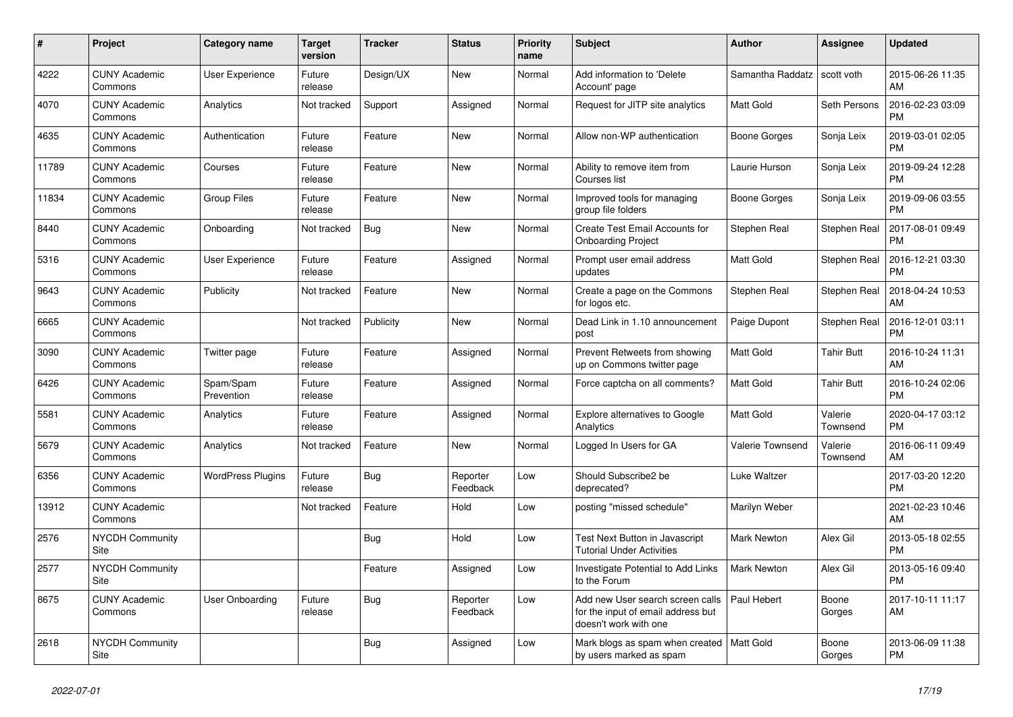| $\pmb{\sharp}$ | <b>Project</b>                  | Category name            | Target<br>version | <b>Tracker</b> | <b>Status</b>        | <b>Priority</b><br>name | <b>Subject</b>                                                                                  | <b>Author</b>           | Assignee            | <b>Updated</b>                |
|----------------|---------------------------------|--------------------------|-------------------|----------------|----------------------|-------------------------|-------------------------------------------------------------------------------------------------|-------------------------|---------------------|-------------------------------|
| 4222           | <b>CUNY Academic</b><br>Commons | User Experience          | Future<br>release | Design/UX      | New                  | Normal                  | Add information to 'Delete<br>Account' page                                                     | Samantha Raddatz        | scott voth          | 2015-06-26 11:35<br>AM        |
| 4070           | <b>CUNY Academic</b><br>Commons | Analytics                | Not tracked       | Support        | Assigned             | Normal                  | Request for JITP site analytics                                                                 | Matt Gold               | Seth Persons        | 2016-02-23 03:09<br><b>PM</b> |
| 4635           | <b>CUNY Academic</b><br>Commons | Authentication           | Future<br>release | Feature        | New                  | Normal                  | Allow non-WP authentication                                                                     | Boone Gorges            | Sonja Leix          | 2019-03-01 02:05<br><b>PM</b> |
| 11789          | <b>CUNY Academic</b><br>Commons | Courses                  | Future<br>release | Feature        | <b>New</b>           | Normal                  | Ability to remove item from<br>Courses list                                                     | Laurie Hurson           | Sonja Leix          | 2019-09-24 12:28<br><b>PM</b> |
| 11834          | <b>CUNY Academic</b><br>Commons | <b>Group Files</b>       | Future<br>release | Feature        | New                  | Normal                  | Improved tools for managing<br>group file folders                                               | Boone Gorges            | Sonja Leix          | 2019-09-06 03:55<br>PM.       |
| 8440           | <b>CUNY Academic</b><br>Commons | Onboarding               | Not tracked       | Bug            | New                  | Normal                  | Create Test Email Accounts for<br><b>Onboarding Project</b>                                     | Stephen Real            | Stephen Real        | 2017-08-01 09:49<br><b>PM</b> |
| 5316           | <b>CUNY Academic</b><br>Commons | User Experience          | Future<br>release | Feature        | Assigned             | Normal                  | Prompt user email address<br>updates                                                            | Matt Gold               | Stephen Real        | 2016-12-21 03:30<br><b>PM</b> |
| 9643           | <b>CUNY Academic</b><br>Commons | Publicity                | Not tracked       | Feature        | <b>New</b>           | Normal                  | Create a page on the Commons<br>for logos etc.                                                  | Stephen Real            | Stephen Real        | 2018-04-24 10:53<br>AM        |
| 6665           | <b>CUNY Academic</b><br>Commons |                          | Not tracked       | Publicity      | New                  | Normal                  | Dead Link in 1.10 announcement<br>post                                                          | Paige Dupont            | Stephen Real        | 2016-12-01 03:11<br><b>PM</b> |
| 3090           | <b>CUNY Academic</b><br>Commons | Twitter page             | Future<br>release | Feature        | Assigned             | Normal                  | Prevent Retweets from showing<br>up on Commons twitter page                                     | Matt Gold               | <b>Tahir Butt</b>   | 2016-10-24 11:31<br>AM        |
| 6426           | <b>CUNY Academic</b><br>Commons | Spam/Spam<br>Prevention  | Future<br>release | Feature        | Assigned             | Normal                  | Force captcha on all comments?                                                                  | Matt Gold               | <b>Tahir Butt</b>   | 2016-10-24 02:06<br><b>PM</b> |
| 5581           | <b>CUNY Academic</b><br>Commons | Analytics                | Future<br>release | Feature        | Assigned             | Normal                  | <b>Explore alternatives to Google</b><br>Analytics                                              | Matt Gold               | Valerie<br>Townsend | 2020-04-17 03:12<br><b>PM</b> |
| 5679           | <b>CUNY Academic</b><br>Commons | Analytics                | Not tracked       | Feature        | New                  | Normal                  | Logged In Users for GA                                                                          | <b>Valerie Townsend</b> | Valerie<br>Townsend | 2016-06-11 09:49<br><b>AM</b> |
| 6356           | <b>CUNY Academic</b><br>Commons | <b>WordPress Plugins</b> | Future<br>release | Bug            | Reporter<br>Feedback | Low                     | Should Subscribe2 be<br>deprecated?                                                             | Luke Waltzer            |                     | 2017-03-20 12:20<br><b>PM</b> |
| 13912          | <b>CUNY Academic</b><br>Commons |                          | Not tracked       | Feature        | Hold                 | Low                     | posting "missed schedule"                                                                       | Marilyn Weber           |                     | 2021-02-23 10:46<br>AM        |
| 2576           | <b>NYCDH Community</b><br>Site  |                          |                   | Bug            | Hold                 | Low                     | Test Next Button in Javascript<br><b>Tutorial Under Activities</b>                              | Mark Newton             | Alex Gil            | 2013-05-18 02:55<br><b>PM</b> |
| 2577           | <b>NYCDH Community</b><br>Site  |                          |                   | Feature        | Assigned             | Low                     | Investigate Potential to Add Links<br>to the Forum                                              | <b>Mark Newton</b>      | Alex Gil            | 2013-05-16 09:40<br><b>PM</b> |
| 8675           | <b>CUNY Academic</b><br>Commons | User Onboarding          | Future<br>release | <b>Bug</b>     | Reporter<br>Feedback | Low                     | Add new User search screen calls<br>for the input of email address but<br>doesn't work with one | Paul Hebert             | Boone<br>Gorges     | 2017-10-11 11:17<br>AM        |
| 2618           | <b>NYCDH Community</b><br>Site  |                          |                   | <b>Bug</b>     | Assigned             | Low                     | Mark blogs as spam when created<br>by users marked as spam                                      | <b>Matt Gold</b>        | Boone<br>Gorges     | 2013-06-09 11:38<br><b>PM</b> |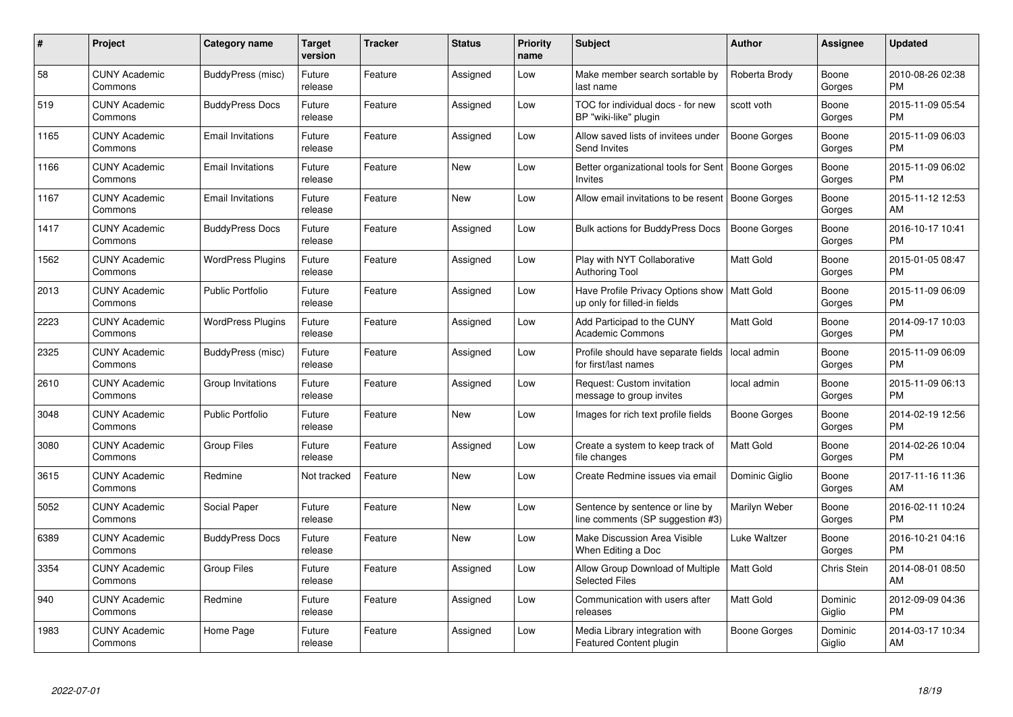| $\#$ | Project                         | <b>Category name</b>     | <b>Target</b><br>version | <b>Tracker</b> | <b>Status</b> | <b>Priority</b><br>name | <b>Subject</b>                                                                | <b>Author</b>       | Assignee           | <b>Updated</b>                |
|------|---------------------------------|--------------------------|--------------------------|----------------|---------------|-------------------------|-------------------------------------------------------------------------------|---------------------|--------------------|-------------------------------|
| 58   | <b>CUNY Academic</b><br>Commons | BuddyPress (misc)        | Future<br>release        | Feature        | Assigned      | Low                     | Make member search sortable by<br>last name                                   | Roberta Brody       | Boone<br>Gorges    | 2010-08-26 02:38<br><b>PM</b> |
| 519  | <b>CUNY Academic</b><br>Commons | <b>BuddyPress Docs</b>   | Future<br>release        | Feature        | Assigned      | Low                     | TOC for individual docs - for new<br>BP "wiki-like" plugin                    | scott voth          | Boone<br>Gorges    | 2015-11-09 05:54<br><b>PM</b> |
| 1165 | <b>CUNY Academic</b><br>Commons | <b>Email Invitations</b> | Future<br>release        | Feature        | Assigned      | Low                     | Allow saved lists of invitees under<br>Send Invites                           | <b>Boone Gorges</b> | Boone<br>Gorges    | 2015-11-09 06:03<br><b>PM</b> |
| 1166 | <b>CUNY Academic</b><br>Commons | <b>Email Invitations</b> | Future<br>release        | Feature        | <b>New</b>    | Low                     | Better organizational tools for Sent<br>Invites                               | <b>Boone Gorges</b> | Boone<br>Gorges    | 2015-11-09 06:02<br><b>PM</b> |
| 1167 | <b>CUNY Academic</b><br>Commons | <b>Email Invitations</b> | Future<br>release        | Feature        | <b>New</b>    | Low                     | Allow email invitations to be resent                                          | Boone Gorges        | Boone<br>Gorges    | 2015-11-12 12:53<br>AM        |
| 1417 | <b>CUNY Academic</b><br>Commons | <b>BuddyPress Docs</b>   | Future<br>release        | Feature        | Assigned      | Low                     | Bulk actions for BuddyPress Docs                                              | <b>Boone Gorges</b> | Boone<br>Gorges    | 2016-10-17 10:41<br><b>PM</b> |
| 1562 | <b>CUNY Academic</b><br>Commons | <b>WordPress Plugins</b> | Future<br>release        | Feature        | Assigned      | Low                     | Play with NYT Collaborative<br><b>Authoring Tool</b>                          | <b>Matt Gold</b>    | Boone<br>Gorges    | 2015-01-05 08:47<br><b>PM</b> |
| 2013 | <b>CUNY Academic</b><br>Commons | <b>Public Portfolio</b>  | Future<br>release        | Feature        | Assigned      | Low                     | Have Profile Privacy Options show   Matt Gold<br>up only for filled-in fields |                     | Boone<br>Gorges    | 2015-11-09 06:09<br><b>PM</b> |
| 2223 | <b>CUNY Academic</b><br>Commons | <b>WordPress Plugins</b> | Future<br>release        | Feature        | Assigned      | Low                     | Add Participad to the CUNY<br><b>Academic Commons</b>                         | <b>Matt Gold</b>    | Boone<br>Gorges    | 2014-09-17 10:03<br><b>PM</b> |
| 2325 | <b>CUNY Academic</b><br>Commons | BuddyPress (misc)        | Future<br>release        | Feature        | Assigned      | Low                     | Profile should have separate fields<br>for first/last names                   | local admin         | Boone<br>Gorges    | 2015-11-09 06:09<br><b>PM</b> |
| 2610 | <b>CUNY Academic</b><br>Commons | Group Invitations        | Future<br>release        | Feature        | Assigned      | Low                     | Request: Custom invitation<br>message to group invites                        | local admin         | Boone<br>Gorges    | 2015-11-09 06:13<br><b>PM</b> |
| 3048 | <b>CUNY Academic</b><br>Commons | <b>Public Portfolio</b>  | Future<br>release        | Feature        | New           | Low                     | Images for rich text profile fields                                           | Boone Gorges        | Boone<br>Gorges    | 2014-02-19 12:56<br><b>PM</b> |
| 3080 | <b>CUNY Academic</b><br>Commons | Group Files              | Future<br>release        | Feature        | Assigned      | Low                     | Create a system to keep track of<br>file changes                              | <b>Matt Gold</b>    | Boone<br>Gorges    | 2014-02-26 10:04<br>PM        |
| 3615 | <b>CUNY Academic</b><br>Commons | Redmine                  | Not tracked              | Feature        | New           | Low                     | Create Redmine issues via email                                               | Dominic Giglio      | Boone<br>Gorges    | 2017-11-16 11:36<br>AM        |
| 5052 | <b>CUNY Academic</b><br>Commons | Social Paper             | Future<br>release        | Feature        | New           | Low                     | Sentence by sentence or line by<br>line comments (SP suggestion #3)           | Marilyn Weber       | Boone<br>Gorges    | 2016-02-11 10:24<br><b>PM</b> |
| 6389 | <b>CUNY Academic</b><br>Commons | <b>BuddyPress Docs</b>   | Future<br>release        | Feature        | <b>New</b>    | Low                     | Make Discussion Area Visible<br>When Editing a Doc                            | Luke Waltzer        | Boone<br>Gorges    | 2016-10-21 04:16<br><b>PM</b> |
| 3354 | <b>CUNY Academic</b><br>Commons | <b>Group Files</b>       | Future<br>release        | Feature        | Assigned      | Low                     | Allow Group Download of Multiple<br><b>Selected Files</b>                     | <b>Matt Gold</b>    | <b>Chris Stein</b> | 2014-08-01 08:50<br>AM        |
| 940  | <b>CUNY Academic</b><br>Commons | Redmine                  | Future<br>release        | Feature        | Assigned      | Low                     | Communication with users after<br>releases                                    | Matt Gold           | Dominic<br>Giglio  | 2012-09-09 04:36<br><b>PM</b> |
| 1983 | <b>CUNY Academic</b><br>Commons | Home Page                | Future<br>release        | Feature        | Assigned      | Low                     | Media Library integration with<br>Featured Content plugin                     | Boone Gorges        | Dominic<br>Giglio  | 2014-03-17 10:34<br>AM        |